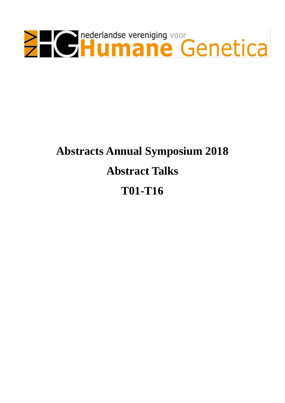

# **Abstracts Annual Symposium 2018 Abstract Talks T01-T16**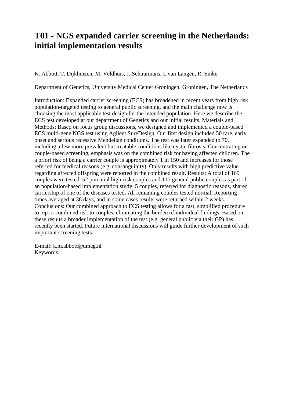### **T01 - NGS expanded carrier screening in the Netherlands: initial implementation results**

K. Abbott, T. Dijkhuizen, M. Veldhuis, J. Schuurmans, I. van Langen, R. Sinke

Department of Genetics, University Medical Center Groningen, Groningen, The Netherlands

Introduction: Expanded carrier screening (ECS) has broadened in recent years from high risk population-targeted testing to general public screening. and the main challenge now is choosing the most applicable test design for the intended population. Here we describe the ECS test developed at our department of Genetics and our initial results. Materials and Methods: Based on focus group discussions, we designed and implemented a couple-based ECS multi-gene NGS test using Agilent SureDesign. Our first design included 50 rare, early onset and serious recessive Mendelian conditions. The test was later expanded to 70, including a few more prevalent but treatable conditions like cystic fibrosis. Concentrating on couple-based screening, emphasis was on the combined risk for having affected children. The a priori risk of being a carrier couple is approximately 1 in 150 and increases for those referred for medical reasons (e.g. consanguinity). Only results with high predictive value regarding affected offspring were reported in the combined result. Results: A total of 169 couples were tested, 52 potential high-risk couples and 117 general public couples as part of an population-based implementation study. 5 couples, referred for diagnostic reasons, shared carriership of one of the diseases tested. All remaining couples tested normal. Reporting times averaged at 38 days, and in some cases results were returned within 2 weeks. Conclusions: Our combined approach to ECS testing allows for a fast, simplified procedure to report combined risk to couples, eliminating the burden of individual findings. Based on these results a broader implementation of the test (e.g. general public via their GP) has recently been started. Future international discussions will guide further development of such important screening tests.

E-mail: k.m.abbott@umcg.nl Keywords: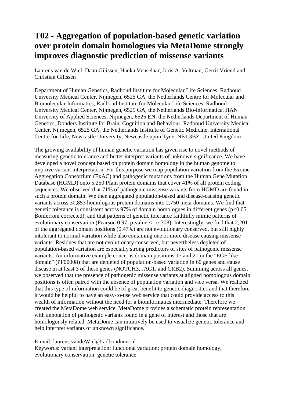## **T02 - Aggregation of population-based genetic variation over protein domain homologues via MetaDome strongly improves diagnostic prediction of missense variants**

Laurens van de Wiel, Daan Gilissen, Hanka Venselaar, Joris A. Veltman, Gerrit Vriend and Christian Gilissen

Department of Human Genetics, Radboud Institute for Molecular Life Sciences, Radboud University Medical Center, Nijmegen, 6525 GA, the Netherlands Centre for Molecular and Biomolecular Informatics, Radboud Institute for Molecular Life Sciences, Radboud University Medical Center, Nijmegen, 6525 GA, the Netherlands Bio-informatica, HAN University of Applied Sciences, Nijmegen, 6525 EN, the Netherlands Department of Human Genetics, Donders Institute for Brain, Cognition and Behaviour, Radboud University Medical Center, Nijmegen, 6525 GA, the Netherlands Institute of Genetic Medicine, International Centre for Life, Newcastle University, Newcastle upon Tyne, NE1 3BZ, United Kingdom

The growing availability of human genetic variation has given rise to novel methods of measuring genetic tolerance and better interpret variants of unknown significance. We have developed a novel concept based on protein domain homology in the human genome to improve variant interpretation. For this purpose we map population variation from the Exome Aggregation Consortium (ExAC) and pathogenic mutations from the Human Gene Mutation Database (HGMD) onto 5,250 Pfam protein domains that cover 41% of all protein coding sequences. We observed that 71% of pathogenic missense variants from HGMD are found in such a protein domain. We then aggregated population-based and disease-causing genetic variants across 30,853 homologous protein domains into 2,750 meta-domains. We find that genetic tolerance is consistent across 97% of domain homologues in different genes (p<0.05, Bonferroni corrected), and that patterns of genetic tolerance faithfully mimic patterns of evolutionary conservation (Pearson 0.97, p-value < 1e-308). Interestingly, we find that 2,201 of the aggregated domain positions (0.47%) are not evolutionary conserved, but still highly intolerant to normal variation while also containing one or more disease causing missense variants. Residues that are not evolutionary conserved, but nevertheless depleted of population-based variation are especially strong predictors of sites of pathogenic missense variants. An informative example concerns domain positions 17 and 21 in the "EGF-like domain" (PF00008) that are depleted of population-based variation in 60 genes and cause disease in at least 3 of these genes (NOTCH3, JAG1, and CRB2). Summing across all genes, we observed that the presence of pathogenic missense variants at aligned homologous domain positions is often paired with the absence of population variation and vice versa. We realized that this type of information could be of great benefit to genetic diagnostics and that therefore it would be helpful to have an easy-to-use web service that could provide access to this wealth of information without the need for a bioinformatics intermediate. Therefore we created the MetaDome web service. MetaDome provides a schematic protein representation with annotation of pathogenic variants found in a gene of interest and those that are homologously related. MetaDome can intuitively be used to visualize genetic tolerance and help interpret variants of unknown significance.

```
E-mail: laurens.vandeWiel@radboudumc.nl
```
Keywords: variant interpretation; functional variation; protein domain homology; evolutionary conservation; genetic tolerance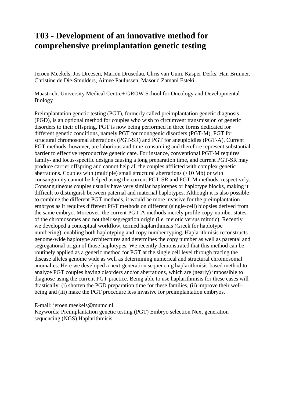### **T03 - Development of an innovative method for comprehensive preimplantation genetic testing**

Jeroen Meekels, Jos Dreesen, Marion Drüsedau, Chris van Uum, Kasper Derks, Han Brunner, Christine de Die-Smulders, Aimee Paulussen, Masoud Zamani Esteki

Maastricht University Medical Centre+ GROW School for Oncology and Developmental Biology

Preimplantation genetic testing (PGT), formerly called preimplantation genetic diagnosis (PGD), is an optional method for couples who wish to circumvent transmission of genetic disorders to their offspring. PGT is now being performed in three forms dedicated for different genetic conditions, namely PGT for monogenic disorders (PGT-M), PGT for structural chromosomal aberrations (PGT-SR) and PGT for aneuploidies (PGT-A). Current PGT methods, however, are laborious and time-consuming and therefore represent substantial barrier to effective reproductive genetic care. For instance, conventional PGT-M requires family- and locus-specific designs causing a long preparation time, and current PGT-SR may produce carrier offspring and cannot help all the couples afflicted with complex genetic aberrations. Couples with (multiple) small structural aberrations (<10 Mb) or with consanguinity cannot be helped using the current PGT-SR and PGT-M methods, respectively. Consanguineous couples usually have very similar haplotypes or haplotype blocks, making it difficult to distinguish between paternal and maternal haplotypes. Although it is also possible to combine the different PGT methods, it would be more invasive for the preimplantation embryos as it requires different PGT methods on different (single-cell) biopsies derived from the same embryo. Moreover, the current PGT-A methods merely profile copy-number states of the chromosomes and not their segregation origin (i.e. meiotic versus mitotic). Recently we developed a conceptual workflow, termed haplarithmisis (Greek for haplotype numbering), enabling both haplotyping and copy number typing. Haplarithmisis reconstructs genome-wide haplotype architectures and determines the copy number as well as parental and segregational origin of those haplotypes. We recently demonstrated that this method can be routinely applied as a generic method for PGT at the single cell level through tracing the disease alleles genome wide as well as determining numerical and structural chromosomal anomalies. Here we developed a next-generation sequencing haplarithmisis-based method to analyze PGT couples having disorders and/or aberrations, which are (nearly) impossible to diagnose using the current PGT practice. Being able to use haplarithmisis for these cases will drastically: (i) shorten the PGD preparation time for these families, (ii) improve their wellbeing and (iii) make the PGT procedure less invasive for preimplantation embryos.

E-mail: jeroen.meekels@mumc.nl

Keywords: Preimplantation genetic testing (PGT) Embryo selection Next generation sequencing (NGS) Haplarithmisis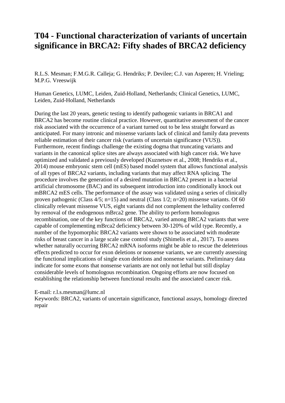### **T04 - Functional characterization of variants of uncertain significance in BRCA2: Fifty shades of BRCA2 deficiency**

R.L.S. Mesman; F.M.G.R. Calleja; G. Hendriks; P. Devilee; C.J. van Asperen; H. Vrieling; M.P.G. Vreeswijk

Human Genetics, LUMC, Leiden, Zuid-Holland, Netherlands; Clinical Genetics, LUMC, Leiden, Zuid-Holland, Netherlands

During the last 20 years, genetic testing to identify pathogenic variants in BRCA1 and BRCA2 has become routine clinical practice. However, quantitative assessment of the cancer risk associated with the occurrence of a variant turned out to be less straight forward as anticipated. For many intronic and missense variants lack of clinical and family data prevents reliable estimation of their cancer risk (variants of uncertain significance (VUS)). Furthermore, recent findings challenge the existing dogma that truncating variants and variants in the canonical splice sites are always associated with high cancer risk. We have optimized and validated a previously developed (Kuznetsov et al., 2008; Hendriks et al., 2014) mouse embryonic stem cell (mES) based model system that allows functional analysis of all types of BRCA2 variants, including variants that may affect RNA splicing. The procedure involves the generation of a desired mutation in BRCA2 present in a bacterial artificial chromosome (BAC) and its subsequent introduction into conditionally knock out mBRCA2 mES cells. The performance of the assay was validated using a series of clinically proven pathogenic (Class 4/5; n=15) and neutral (Class 1/2; n=20) missense variants. Of 60 clinically relevant missense VUS, eight variants did not complement the lethality conferred by removal of the endogenous mBrca2 gene. The ability to perform homologous recombination, one of the key functions of BRCA2, varied among BRCA2 variants that were capable of complementing mBrca2 deficiency between 30-120% of wild type. Recently, a number of the hypomorphic BRCA2 variants were shown to be associated with moderate risks of breast cancer in a large scale case control study (Shimelis et al., 2017). To assess whether naturally occurring BRCA2 mRNA isoforms might be able to rescue the deleterious effects predicted to occur for exon deletions or nonsense variants, we are currently assessing the functional implications of single exon deletions and nonsense variants. Preliminary data indicate for some exons that nonsense variants are not only not lethal but still display considerable levels of homologous recombination. Ongoing efforts are now focused on establishing the relationship between functional results and the associated cancer risk.

### E-mail: r.l.s.mesman@lumc.nl

Keywords: BRCA2, variants of uncertain significance, functional assays, homology directed repair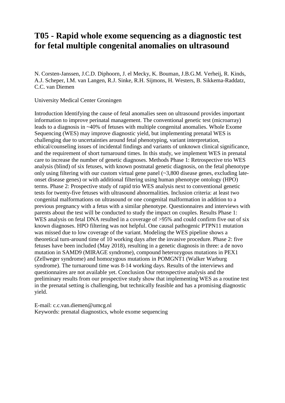### **T05 - Rapid whole exome sequencing as a diagnostic test for fetal multiple congenital anomalies on ultrasound**

N. Corsten-Janssen, J.C.D. Diphoorn, J. el Mecky, K. Bouman, J.B.G.M. Verheij, R. Kinds, A.J. Scheper, I.M. van Langen, R.J. Sinke, R.H. Sijmons, H. Westers, B. Sikkema-Raddatz, C.C. van Diemen

University Medical Center Groningen

Introduction Identifying the cause of fetal anomalies seen on ultrasound provides important information to improve perinatal management. The conventional genetic test (microarray) leads to a diagnosis in ~40% of fetuses with multiple congenital anomalies. Whole Exome Sequencing (WES) may improve diagnostic yield, but implementing prenatal WES is challenging due to uncertainties around fetal phenotyping, variant interpretation, ethical/counseling issues of incidental findings and variants of unknown clinical significance, and the requirement of short turnaround times. In this study, we implement WES in prenatal care to increase the number of genetic diagnoses. Methods Phase 1: Retrospective trio WES analysis (blind) of six fetuses, with known postnatal genetic diagnosis, on the fetal phenotype only using filtering with our custom virtual gene panel (~3,800 disease genes, excluding lateonset disease genes) or with additional filtering using human phenotype ontology (HPO) terms. Phase 2: Prospective study of rapid trio WES analysis next to conventional genetic tests for twenty-five fetuses with ultrasound abnormalities. Inclusion criteria: at least two congenital malformations on ultrasound or one congenital malformation in addition to a previous pregnancy with a fetus with a similar phenotype. Questionnaires and interviews with parents about the test will be conducted to study the impact on couples. Results Phase 1: WES analysis on fetal DNA resulted in a coverage of  $>95\%$  and could confirm five out of six known diagnoses. HPO filtering was not helpful. One causal pathogenic PTPN11 mutation was missed due to low coverage of the variant. Modeling the WES pipeline shows a theoretical turn-around time of 10 working days after the invasive procedure. Phase 2: five fetuses have been included (May 2018), resulting in a genetic diagnosis in three: a de novo mutation in SAMD9 (MIRAGE syndrome), compound heterozygous mutations in PEX1 (Zellweger syndrome) and homozygous mutations in POMGNT1 (Walker Warburg syndrome). The turnaround time was 8-14 working days. Results of the interviews and questionnaires are not available yet. Conclusion Our retrospective analysis and the preliminary results from our prospective study show that implementing WES as a routine test in the prenatal setting is challenging, but technically feasible and has a promising diagnostic yield.

E-mail: c.c.van.diemen@umcg.nl Keywords: prenatal diagnostics, whole exome sequencing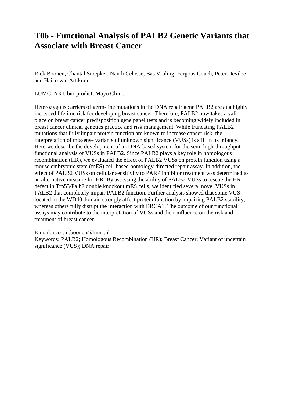### **T06 - Functional Analysis of PALB2 Genetic Variants that Associate with Breast Cancer**

Rick Boonen, Chantal Stoepker, Nandi Celosse, Bas Vroling, Fergous Couch, Peter Devilee and Haico van Attikum

LUMC, NKI, bio-prodict, Mayo Clinic

Heterozygous carriers of germ-line mutations in the DNA repair gene PALB2 are at a highly increased lifetime risk for developing breast cancer. Therefore, PALB2 now takes a valid place on breast cancer predisposition gene panel tests and is becoming widely included in breast cancer clinical genetics practice and risk management. While truncating PALB2 mutations that fully impair protein function are known to increase cancer risk, the interpretation of missense variants of unknown significance (VUSs) is still in its infancy. Here we describe the development of a cDNA-based system for the semi high-throughput functional analysis of VUSs in PALB2. Since PALB2 plays a key role in homologous recombination (HR), we evaluated the effect of PALB2 VUSs on protein function using a mouse embryonic stem (mES) cell-based homology-directed repair assay. In addition, the effect of PALB2 VUSs on cellular sensitivity to PARP inhibitor treatment was determined as an alternative measure for HR. By assessing the ability of PALB2 VUSs to rescue the HR defect in Trp53/Palb2 double knockout mES cells, we identified several novel VUSs in PALB2 that completely impair PALB2 function. Further analysis showed that some VUS located in the WD40 domain strongly affect protein function by impairing PALB2 stability, whereas others fully disrupt the interaction with BRCA1. The outcome of our functional assays may contribute to the interpretation of VUSs and their influence on the risk and treatment of breast cancer.

E-mail: r.a.c.m.boonen@lumc.nl

Keywords: PALB2; Homologous Recombination (HR); Breast Cancer; Variant of uncertain significance (VUS); DNA repair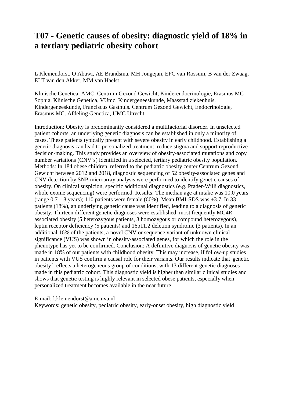### **T07 - Genetic causes of obesity: diagnostic yield of 18% in a tertiary pediatric obesity cohort**

L Kleinendorst, O Abawi, AE Brandsma, MH Jongejan, EFC van Rossum, B van der Zwaag, ELT van den Akker, MM van Haelst

Klinische Genetica, AMC. Centrum Gezond Gewicht, Kinderendocrinologie, Erasmus MC-Sophia. Klinische Genetica, VUmc. Kindergeneeskunde, Maasstad ziekenhuis. Kindergeneeskunde, Franciscus Gasthuis. Centrum Gezond Gewicht, Endocrinologie, Erasmus MC. Afdeling Genetica, UMC Utrecht.

Introduction: Obesity is predominantly considered a multifactorial disorder. In unselected patient cohorts, an underlying genetic diagnosis can be established in only a minority of cases. These patients typically present with severe obesity in early childhood. Establishing a genetic diagnosis can lead to personalized treatment, reduce stigma and support reproductive decision-making. This study provides an overview of obesity-associated mutations and copy number variations (CNV's) identified in a selected, tertiary pediatric obesity population. Methods: In 184 obese children, referred to the pediatric obesity center Centrum Gezond Gewicht between 2012 and 2018, diagnostic sequencing of 52 obesity-associated genes and CNV detection by SNP-microarray analysis were performed to identify genetic causes of obesity. On clinical suspicion, specific additional diagnostics (e.g. Prader-Willi diagnostics, whole exome sequencing) were performed. Results: The median age at intake was 10.0 years (range 0.7–18 years); 110 patients were female (60%). Mean BMI-SDS was +3.7. In 33 patients (18%), an underlying genetic cause was identified, leading to a diagnosis of genetic obesity. Thirteen different genetic diagnoses were established, most frequently MC4Rassociated obesity (5 heterozygous patients, 3 homozygous or compound heterozygous), leptin receptor deficiency (5 patients) and 16p11.2 deletion syndrome (3 patients). In an additional 16% of the patients, a novel CNV or sequence variant of unknown clinical significance (VUS) was shown in obesity-associated genes, for which the role in the phenotype has yet to be confirmed. Conclusion: A definitive diagnosis of genetic obesity was made in 18% of our patients with childhood obesity. This may increase, if follow-up studies in patients with VUS confirm a causal role for their variants. Our results indicate that 'genetic obesity´ reflects a heterogeneous group of conditions, with 13 different genetic diagnoses made in this pediatric cohort. This diagnostic yield is higher than similar clinical studies and shows that genetic testing is highly relevant in selected obese patients, especially when personalized treatment becomes available in the near future.

E-mail: l.kleinendorst@amc.uva.nl

Keywords: genetic obesity, pediatric obesity, early-onset obesity, high diagnostic yield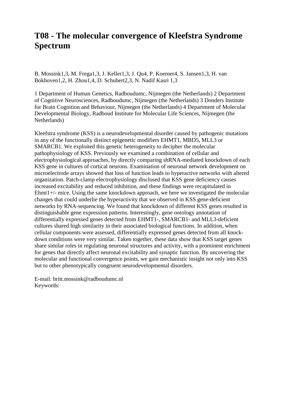### **T08 - The molecular convergence of Kleefstra Syndrome Spectrum**

B. Mossink1,3, M. Frega1,3, J. Keller1,3, J. Qu4, P. Koerner4, S. Jansen1,3, H. van Bokhoven1,2, H. Zhou1,4, D. Schubert2,3, N. Nadif Kasri 1,3

1 Department of Human Genetics, Radboudumc, Nijmegen (the Netherlands) 2 Department of Cognitive Neurosciences, Radboudumc, Nijmegen (the Netherlands) 3 Donders Institute for Brain Cognition and Behaviour, Nijmegen (the Netherlands) 4 Department of Molecular Developmental Biology, Radboud Institute for Molecular Life Sciences, Nijmegen (the Netherlands)

Kleefstra syndrome (KSS) is a neurodevelopmental disorder caused by pathogenic mutations in any of the functionally distinct epigenetic modifiers EHMT1, MBD5, MLL3 or SMARCB1. We exploited this genetic heterogeneity to decipher the molecular pathophysiology of KSS. Previously we examined a combination of cellular and electrophysiological approaches, by directly comparing shRNA-mediated knockdown of each KSS gene in cultures of cortical neurons. Examination of neuronal network development on microelectrode arrays showed that loss of function leads to hyperactive networks with altered organization. Patch-clamp electrophysiology disclosed that KSS gene deficiency causes increased excitability and reduced inhibition, and these findings were recapitulated in Ehmt1+/- mice. Using the same knockdown approach, we here we investigated the molecular changes that could underlie the hyperactivity that we observed in KSS gene-deficient networks by RNA-sequencing. We found that knockdown of different KSS genes resulted in distinguishable gene expression patterns. Interestingly, gene ontology annotation of differentially expressed genes detected from EHMT1-, SMARCB1- and MLL3-deficient cultures shared high similarity in their associated biological functions. In addition, when cellular components were assessed, differentially expressed genes detected from all knockdown conditions were very similar. Taken together, these data show that KSS target genes share similar roles in regulating neuronal structures and activity, with a prominent enrichment for genes that directly affect neuronal excitability and synaptic function. By uncovering the molecular and functional convergence points, we gain mechanistic insight not only into KSS but to other phenotypically congruent neurodevelopmental disorders.

E-mail: britt.mossink@radboudumc.nl Keywords: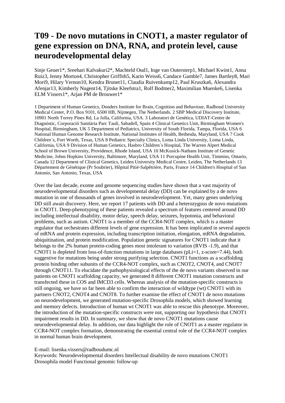# **T09 - De novo mutations in CNOT1, a master regulator of gene expression on DNA, RNA, and protein level, cause neurodevelopmental delay**

Sinje Geuer1\*, Sreehari Kalvakuri2\*, Machteld Oud1, Inge van Outersterp1, Michael Kwint1, Anna Ruiz3, Jenny Morton4, Christopher Griffith5, Karin Weiss6, Candace Gamble7, James Bartley8, Mari Mori9, Hilary Vernon10, Kendra Brunet11, Claudia Ruivenkamp12, Paul Kruszka6, Alexandra Afenjar13, Kimberly Nugent14, Tjitske Kleefstra1, Rolf Bodmer2, Maximilian Muenke6, Lisenka ELM Vissers1\*, Arjan PM de Brouwer1\*

1 Department of Human Genetics, Donders Institute for Brain, Cognition and Behaviour, Radboud University Medical Center, P.O. Box 9101, 6500 HB, Nijmegen, The Netherlands. 2 SBP Medical Discovery Institute, 10901 North Torrey Pines Rd, La Jolla, California, USA. 3 Laboratori de Genètica, UDIAT-Centre de Diagnòstic, Corporació Sanitària Parc Taulí, Sabadell, Spain 4 Clinical Genetics Unit, Birmingham Women's Hospital, Birmingham, UK 5 Department of Pediatrics, University of South Florida, Tampa, Florida, USA 6 National Human Genome Research Institute, National Institutes of Health, Bethesda, Maryland, USA 7 Cook Children´s, Fort Worth, Texas, USA 8 Pediatric Specialty Clinics, Loma Linda University, Loma Linda, California, USA 9 Division of Human Genetics, Hasbro Children´s Hospital, The Warren Alpert Medical School of Brown University, Providence, Rhode Island, USA 10 McKusick-Nathans Institute of Genetic Medicine, Johns Hopkins University, Baltimore, Maryland, USA 11 Porcupine Health Unit, Timmins, Ontario, Canada 12 Department of Clinical Genetics, Leiden University Medical Centre, Leiden, The Netherlands 13 Département de Génétique (Pr Soubrier), Hôpital Pitié-Salpêtrière, Paris, France 14 Children's Hospital of San Antonio, San Antonio, Texas, USA

Over the last decade, exome and genome sequencing studies have shown that a vast majority of neurodevelopmental disorders such as developmental delay (DD) can be explained by a de novo mutation in one of thousands of genes involved in neurodevelopment. Yet, many genes underlying DD still await discovery. Here, we report 17 patients with DD and a heterozygous de novo mutations in CNOT1. Deep-phenotyping of these patients revealed a spectrum of features centered around DD including intellectual disability, motor delay, speech delay, seizures, hypotonia, and behavioral problems, such as autism. CNOT1 is a member of the CCR4-NOT complex, which is a master regulator that orchestrates different levels of gene expression. It has been implicated in several aspects of mRNA and protein expression, including transcription initiation, elongation, mRNA degradation, ubiquitination, and protein modification. Population genetic signatures for CNOT1 indicate that it belongs to the 2% human protein-coding genes most intolerant to variation (RVIS -1.9), and that CNOT1 is depleted from loss-of-function mutations in large databases (pLi=1, z-score=7.44), both suggestive for mutations being under strong purifying selection. CNOT1 functions as a scaffolding protein binding other subunits of the CCR4-NOT complex, such as CNOT2, CNOT4, and CNOT7 through CNOT11. To elucidate the pathophysiological effects of the de novo variants observed in our patients on CNOT1 scaffolding capacity, we generated 8 different CNOT1 mutation constructs and transfected these in COS and IMCD3 cells. Whereas analysis of the mutation-specific constructs is still ongoing, we have so far been able to confirm the interaction of wildtype (wt) CNOT1 with its partners CNOT2, CNOT4 and CNOT8. To further examine the effect of CNOT1 de novo mutations on neurodevelopment, we generated mutation-specific Drosophila models, which showed learning and memory defects. Introduction of human wt CNOT1 was able to rescue this phenotype. Moreover, the introduction of the mutation-specific constructs were not, supporting our hypothesis that CNOT1 impairment results in DD. In summary, we show that de novo CNOT1 mutations cause neurodevelopmental delay. In addition, our data highlight the role of CNOT1 as a master regulator in CCR4-NOT complex formation, demonstrating the essential central role of the CCR4-NOT complex in normal human brain development.

### E-mail: lisenka.vissers@radboudumc.nl

Keywords: Neurodevelopmental disorders Intellectual disability de novo mutations CNOT1 Drosophila model Functional genomic follow-up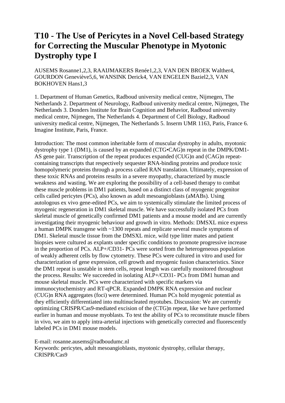# **T10 - The Use of Pericytes in a Novel Cell-based Strategy for Correcting the Muscular Phenotype in Myotonic Dystrophy type I**

AUSEMS Rosanne1,2,3, RAAIJMAKERS Renée1,2,3, VAN DEN BROEK Walther4, GOURDON Geneviève5,6, WANSINK Derick4, VAN ENGELEN Baziel2,3, VAN BOKHOVEN Hans1,3

1. Department of Human Genetics, Radboud university medical centre, Nijmegen, The Netherlands 2. Department of Neurology, Radboud university medical centre, Nijmegen, The Netherlands 3. Donders lnstitute for Brain Cognition and Behavior, Radboud university medical centre, Nijmegen, The Netherlands 4. Department of Cell Biology, Radboud university medical centre, Nijmegen, The Netherlands 5. Inserm UMR 1163, Paris, France 6. Imagine Institute, Paris, France.

Introduction: The most common inheritable form of muscular dystrophy in adults, myotonic dystrophy type 1 (DM1), is caused by an expanded (CTG•CAG)n repeat in the DMPK/DM1- AS gene pair. Transcription of the repeat produces expanded (CUG)n and (CAG)n repeatcontaining transcripts that respectively sequester RNA-binding proteins and produce toxic homopolymeric proteins through a process called RAN translation. Ultimately, expression of these toxic RNAs and proteins results in a severe myopathy, characterized by muscle weakness and wasting. We are exploring the possibility of a cell-based therapy to combat these muscle problems in DM1 patients, based on a distinct class of myogenic progenitor cells called pericytes (PCs), also known as adult mesoangioblasts (aMABs). Using autologous ex vivo gene-edited PCs, we aim to systemically stimulate the limited process of myogenic regeneration in DM1 skeletal muscle. We have successfully isolated PCs from skeletal muscle of genetically confirmed DM1 patients and a mouse model and are currently investigating their myogenic behaviour and growth in vitro. Methods: DMSXL mice express a human DMPK transgene with ~1300 repeats and replicate several muscle symptoms of DM1. Skeletal muscle tissue from the DMSXL mice, wild type litter mates and patient biopsies were cultured as explants under specific conditions to promote progressive increase in the proportion of PCs. ALP+/CD31- PCs were sorted from the heterogeneous population of weakly adherent cells by flow cytometry. These PCs were cultured in vitro and used for characterization of gene expression, cell growth and myogenic fusion characteristics. Since the DM1 repeat is unstable in stem cells, repeat length was carefully monitored throughout the process. Results: We succeeded in isolating ALP+/CD31- PCs from DM1 human and mouse skeletal muscle. PCs were characterized with specific markers via immunocytochemistry and RT-qPCR. Expanded DMPK RNA expression and nuclear (CUG)n RNA aggregates (foci) were determined. Human PCs hold myogenic potential as they efficiently differentiated into multinucleated myotubes. Discussion: We are currently optimizing CRISPR/Cas9-mediated excision of the (CTG)n repeat, like we have performed earlier in human and mouse myoblasts. To test the ability of PCs to reconstitute muscle fibers in vivo, we aim to apply intra-arterial injections with genetically corrected and fluorescently labeled PCs in DM1 mouse models.

E-mail: rosanne.ausems@radboudumc.nl

Keywords: pericytes, adult mesoangioblasts, myotonic dystrophy, cellular therapy, CRISPR/Cas9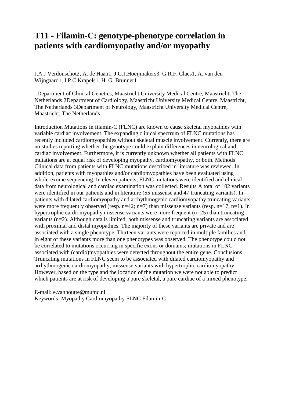### **T11 - Filamin-C: genotype-phenotype correlation in patients with cardiomyopathy and/or myopathy**

J.A.J Verdonschot2, A. de Haan1, J.G.J.Hoeijmakers3, G.R.F. Claes1, A. van den Wijngaard1, I.P.C Krapels1, H. G. Brunner1

1Department of Clinical Genetics, Maastricht University Medical Centre, Maastricht, The Netherlands 2Department of Cardiology, Maastricht University Medical Centre, Maastricht, The Netherlands 3Department of Neurology, Maastricht University Medical Centre, Maastricht, The Netherlands

Introduction Mutations in filamin-C (FLNC) are known to cause skeletal myopathies with variable cardiac involvement. The expanding clinical spectrum of FLNC mutations has recently included cardiomyopathies without skeletal muscle involvement. Currently, there are no studies reporting whether the genotype could explain differences in neurological and cardiac involvement. Furthermore, it is currently unknown whether all patients with FLNC mutations are at equal risk of developing myopathy, cardiomyopathy, or both. Methods Clinical data from patients with FLNC mutations described in literature was reviewed. In addition, patients with myopathies and/or cardiomyopathies have been evaluated using whole-exome sequencing. In eleven patients, FLNC mutations were identified and clinical data from neurological and cardiac examination was collected. Results A total of 102 variants were identified in our patients and in literature (55 missense and 47 truncating variants). In patients with dilated cardiomyopathy and arrhythmogenic cardiomyopathy truncating variants were more frequently observed (resp.  $n=42$ ;  $n=7$ ) than missense variants (resp.  $n=17$ ,  $n=1$ ). In hypertrophic cardiomyopathy missense variants were more frequent  $(n=25)$  than truncating variants (n=2). Although data is limited, both missense and truncating variants are associated with proximal and distal myopathies. The majority of these variants are private and are associated with a single phenotype. Thirteen variants were reported in multiple families and in eight of these variants more than one phenotypes was observed. The phenotype could not be correlated to mutations occurring in specific exons or domains; mutations in FLNC associated with (cardio)myopathies were detected throughout the entire gene. Conclusions Truncating mutations in FLNC seem to be associated with dilated cardiomyopathy and arrhythmogenic cardiomyopathy; missense variants with hypertrophic cardiomyopathy. However, based on the type and the location of the mutation we were not able to predict which patients are at risk of developing a pure skeletal, a pure cardiac of a mixed phenotype.

E-mail: e.vanhoutte@mumc.nl Keywords: Myopathy Cardiomyopathy FLNC Filamin-C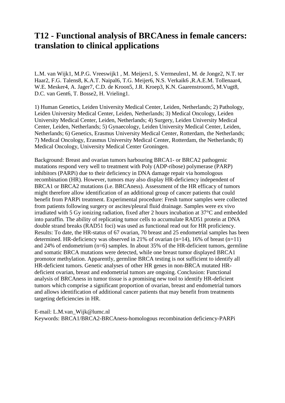### **T12 - Functional analysis of BRCAness in female cancers: translation to clinical applications**

L.M. van Wijk1, M.P.G. Vreeswijk1 , M. Meijers1, S. Vermeulen1, M. de Jonge2, N.T. ter Haar2, F.G. Talens8, K.A.T. Naipal6, T.G. Meijer6, N.S. Verkaik6 ,R.A.E.M. Tollenaar4, W.E. Mesker4, A. Jager7, C.D. de Kroon5, J.R. Kroep3, K.N. Gaarenstroom5, M.Vugt8, D.C. van Gent6, T. Bosse2, H. Vrieling1.

1) Human Genetics, Leiden University Medical Center, Leiden, Netherlands; 2) Pathology, Leiden University Medical Center, Leiden, Netherlands; 3) Medical Oncology, Leiden University Medical Center, Leiden, Netherlands; 4) Surgery, Leiden University Medical Center, Leiden, Netherlands; 5) Gynaecology, Leiden University Medical Center, Leiden, Netherlands; 6) Genetics, Erasmus University Medical Center, Rotterdam, the Netherlands; 7) Medical Oncology, Erasmus University Medical Center, Rotterdam, the Netherlands; 8) Medical Oncology, University Medical Center Groningen.

Background: Breast and ovarian tumors harbouring BRCA1- or BRCA2 pathogenic mutations respond very well to treatment with Poly (ADP-ribose) polymerase (PARP) inhibitors (PARPi) due to their deficiency in DNA damage repair via homologous recombination (HR). However, tumors may also display HR-deficiency independent of BRCA1 or BRCA2 mutations (i.e. BRCAness). Assessment of the HR efficacy of tumors might therefore allow identification of an additional group of cancer patients that could benefit from PARPi treatment. Experimental procedure: Fresh tumor samples were collected from patients following surgery or ascites/pleural fluid drainage. Samples were ex vivo irradiated with 5 Gy ionizing radiation, fixed after 2 hours incubation at 37°C and embedded into paraffin. The ability of replicating tumor cells to accumulate RAD51 protein at DNA double strand breaks (RAD51 foci) was used as functional read out for HR proficiency. Results: To date, the HR-status of 67 ovarian, 70 breast and 25 endometrial samples has been determined. HR-deficiency was observed in 21% of ovarian  $(n=14)$ , 16% of breast  $(n=11)$ and 24% of endometrium (n=6) samples. In about 35% of the HR-deficient tumors, germline and somatic BRCA mutations were detected, while one breast tumor displayed BRCA1 promotor methylation. Apparently, germline BRCA testing is not sufficient to identify all HR-deficient tumors. Genetic analyses of other HR genes in non-BRCA mutated HRdeficient ovarian, breast and endometrial tumors are ongoing. Conclusion: Functional analysis of BRCAness in tumor tissue is a promising new tool to identify HR-deficient tumors which comprise a significant proportion of ovarian, breast and endometrial tumors and allows identification of additional cancer patients that may benefit from treatments targeting deficiencies in HR.

E-mail: L.M.van\_Wijk@lumc.nl

Keywords: BRCA1/BRCA2-BRCAness-homologous recombination deficiency-PARPi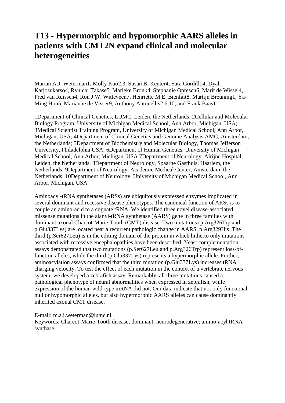### **T13 - Hypermorphic and hypomorphic AARS alleles in patients with CMT2N expand clinical and molecular heterogeneities**

Marian A.J. Weterman1, Molly Kuo2,3, Susan B. Kenter4, Sara Gordillo4, Dyah Karjosukarso4, Ryuichi Takase5, Marieke Bronk4, Stephanie Oprescu6, Marit de Wissel4, Fred van Ruissen4, Ron J.W. Witteveen7, Henriette M.E. Bienfait8, Martijn Breuning1, Ya-Ming Hou5, Marianne de Visser9, Anthony Antonellis2,6,10, and Frank Baas1

1Department of Clinical Genetics, LUMC, Leiden, the Netherlands; 2Cellular and Molecular Biology Program, University of Michigan Medical School, Ann Arbor, Michigan, USA; 3Medical Scientist Training Program, University of Michigan Medical School, Ann Arbor, Michigan, USA; 4Department of Clinical Genetics and Genome Analysis AMC, Amsterdam, the Netherlands; 5Department of Biochemistry and Molecular Biology, Thomas Jefferson University, Philadelphia USA; 6Department of Human Genetics, University of Michigan Medical School, Ann Arbor, Michigan, USA 7Department of Neurology, Alrijne Hospital, Leiden, the Netherlands, 8Department of Neurology, Spaarne Gasthuis, Haarlem, the Netherlands; 9Department of Neurology, Academic Medical Center, Amsterdam, the Netherlands; 10Department of Neurology, University of Michigan Medical School, Ann Arbor, Michigan, USA.

Aminoacyl-tRNA synthetases (ARSs) are ubiquitously expressed enzymes implicated in several dominant and recessive disease phenotypes. The canonical function of ARSs is to couple an amino-acid to a cognate tRNA. We identified three novel disease-associated missense mutations in the alanyl-tRNA synthetase (AARS) gene in three families with dominant axonal Charcot-Marie-Tooth (CMT) disease. Two mutations (p.Arg326Trp and p.Glu337Lys) are located near a recurrent pathologic change in AARS, p.Arg329His. The third (p.Ser627Leu) is in the editing domain of the protein in which hitherto only mutations associated with recessive encephalopathies have been described. Yeast complementation assays demonstrated that two mutations (p.Ser627Leu and p.Arg326Trp) represent loss-offunction alleles, while the third (p.Glu337Lys) represents a hypermorphic allele. Further, aminoacylation assays confirmed that the third mutation (p.Glu337Lys) increases tRNA charging velocity. To test the effect of each mutation in the context of a vertebrate nervous system, we developed a zebrafish assay. Remarkably, all three mutations caused a pathological phenotype of neural abnormalities when expressed in zebrafish, while expression of the human wild-type mRNA did not. Our data indicate that not only functional null or hypomorphic alleles, but also hypermorphic AARS alleles can cause dominantly inherited axonal CMT disease.

E-mail: m.a.j.weterman@lumc.nl

Keywords: Charcot-Marie-Tooth disease; dominant; neurodegenerative; amino-acyl tRNA synthase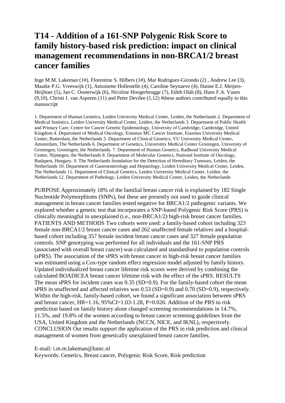# **T14 - Addition of a 161-SNP Polygenic Risk Score to family history-based risk prediction: impact on clinical management recommendations in non-BRCA1/2 breast cancer families**

Inge M.M. Lakeman (1#), Florentine S. Hilbers (1#), Mar Rodriguez-Girondo (2) , Andrew Lee (3), Maaike P.G. Vreeswijk (1), Antoinette Hollestelle (4), Caroline Seynaeve (4), Hanne E.J. Meijers-Heijboer (5), Jan C. Oosterwijk (6), Nicoline Hoogerbrugge (7), Edith Oláh (8), Hans F.A. Vasen (9,10), Christi J. van Asperen (11) and Peter Devilee (1,12) #these authors contributed equally to this manuscript

1. Department of Human Genetics, Leiden University Medical Center, Leiden, the Netherlands 2. Department of Medical Statistics, Leiden University Medical Center, Leiden, the Netherlands 3. Department of Public Health and Primary Care, Centre for Cancer Genetic Epidemiology, University of Cambridge, Cambridge, United Kingdom 4. Department of Medical Oncology, Erasmus MC Cancer Institute, Erasmus University Medical Center, Rotterdam, the Netherlands 5. Department of Clinical Genetics, VU University Medical Center, Amsterdam, The Netherlands 6. Department of Genetics, Universtity Medical Center Groningen, University of Groningen, Groningen, the Netherlands. 7. Department of Human Genetics, Radboud University Medical Center, Nijmegen, the Netherlands 8. Department of Molecular Genetics, National Institute of Oncology, Budapest, Hungary. 9. The Netherlands foundation for the Detection of Hereditary Tumours, Leiden, the Netherlands 10. Department of Gastroenterology and Hepatology, Leiden University Medical Center, Leiden, The Netherlands 11. Department of Clinical Genetics, Leiden University Medical Center, Leiden, the Netherlands 12. Department of Pathology, Leiden University Medical Center, Leiden, the Netherlands

PURPOSE Approximately 18% of the familial breast cancer risk is explained by 182 Single Nucleotide Polymorphisms (SNPs), but these are presently not used to guide clinical management in breast cancer families tested negative for BRCA1/2 pathogenic variants. We explored whether a genetic test that incorporates a SNP-based Polygenic Risk Score (PRS) is clinically meaningful in unexplained (i.e., non-BRCA1/2) high-risk breast cancer families. PATIENTS AND METHODS Two cohorts were used: a family-based cohort including 323 female non-BRCA1/2 breast cancer cases and 262 unaffected female relatives and a hospitalbased cohort including 357 female incident breast cancer cases and 327 female population controls. SNP genotyping was performed for all individuals and the 161-SNP PRS (associated with overall breast cancer) was calculated and standardised to population controls (sPRS). The association of the sPRS with breast cancer in high-risk breast cancer families was estimated using a Cox-type random effect regression model adjusted by family history. Updated individualized breast cancer lifetime risk scores were derived by combining the calculated BOADICEA breast cancer lifetime risk with the effect of the sPRS. RESULTS The mean sPRS for incident cases was 0.35 (SD=0.9). For the family-based cohort the mean sPRS in unaffected and affected relatives was 0.53 (SD=0.9) and 0.70 (SD=0.9), respectively. Within the high-risk, family-based cohort, we found a significant association between sPRS and breast cancer, HR=1.16, 95%CI=1.03-1.28, P=0.026. Addition of the PRS to risk prediction based on family history alone changed screening recommendations in 14.7%, 11.5%, and 19.8% of the women according to breast cancer screening guidelines from the USA, United Kingdom and the Netherlands (NCCN, NICE, and IKNL), respectively. CONCLUSION Our results support the application of the PRS in risk prediction and clinical management of women from genetically unexplained breast cancer families.

E-mail: i.m.m.lakeman@lumc.nl

Keywords: Genetics, Breast cancer, Polygenic Risk Score, Risk prediction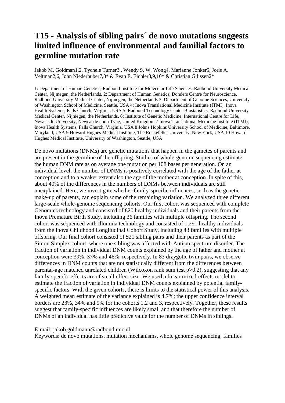# **T15 - Analysis of sibling pairs´ de novo mutations suggests limited influence of environmental and familial factors to germline mutation rate**

Jakob M. Goldman1,2, Tychele Turner3 , Wendy S. W. Wong4, Marianne Jonker5, Joris A. Veltman2,6, John Niederhuber7,8\* & Evan E. Eichler3,9,10\* & Christian Gilissen2\*

1: Department of Human Genetics, Radboud Institute for Molecular Life Sciences, Radboud University Medical Center, Nijmegen, the Netherlands. 2: Department of Human Genetics, Donders Centre for Neuroscience, Radboud University Medical Center, Nijmegen, the Netherlands 3: Department of Genome Sciences, University of Washington School of Medicine, Seattle, USA 4: Inova Translational Medicine Institute (ITMI), Inova Health Systems, Falls Church, Virginia, USA 5: Radboud Technology Center Biostatistics, Radboud University Medical Center, Nijmegen, the Netherlands. 6: Institute of Genetic Medicine, International Centre for Life, Newcastle University, Newcastle upon Tyne, United Kingdom 7 Inova Translational Medicine Institute (ITMI), Inova Health Systems, Falls Church, Virginia, USA 8 Johns Hopkins University School of Medicine, Baltimore, Maryland, USA 9 Howard Hughes Medical Institute, The Rockefeller University, New York, USA 10 Howard Hughes Medical Institute, University of Washington, Seattle, USA

De novo mutations (DNMs) are genetic mutations that happen in the gametes of parents and are present in the germline of the offspring. Studies of whole-genome sequencing estimate the human DNM rate as on average one mutation per 108 bases per generation. On an individual level, the number of DNMs is positively correlated with the age of the father at conception and to a weaker extent also the age of the mother at conception. In spite of this, about 40% of the differences in the numbers of DNMs between individuals are still unexplained. Here, we investigate whether family-specific influences, such as the genetic make-up of parents, can explain some of the remaining variation. We analyzed three different large-scale whole-genome sequencing cohorts. Our first cohort was sequenced with complete Genomics technology and consisted of 820 healthy individuals and their parents from the Inova Premature Birth Study, including 36 families with multiple offspring. The second cohort was sequenced with Illumina technology and consisted of 1,291 healthy individuals from the Inova Childhood Longitudinal Cohort Study, including 43 families with multiple offspring. Our final cohort consisted of 521 sibling pairs and their parents as part of the Simon Simplex cohort, where one sibling was affected with Autism spectrum disorder. The fraction of variation in individual DNM counts explained by the age of father and mother at conception were 39%, 37% and 46%, respectively. In 83 dizygotic twin pairs, we observe differences in DNM counts that are not statistically different from the differences between parental-age matched unrelated children (Wilcoxon rank sum test p>0.2), suggesting that any family-specific effects are of small effect size. We used a linear mixed-effects model to estimate the fraction of variation in individual DNM counts explained by potential familyspecific factors. With the given cohorts, there is limits to the statistical power of this analysis. A weighted mean estimate of the variance explained is 4.7%; the upper confidence interval borders are 23%, 34% and 9% for the cohorts 1,2 and 3, respectively. Together, these results suggest that family-specific influences are likely small and that therefore the number of DNMs of an individual has little predictive value for the number of DNMs in siblings.

### E-mail: jakob.goldmann@radboudumc.nl

Keywords: de novo mutations, mutation mechanisms, whole genome sequencing, families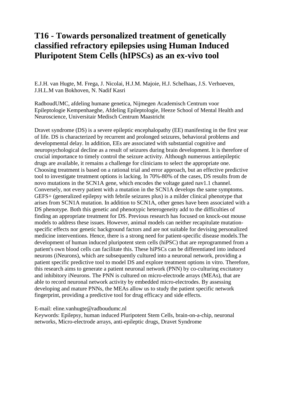# **T16 - Towards personalized treatment of genetically classified refractory epilepsies using Human Induced Pluripotent Stem Cells (hIPSCs) as an ex-vivo tool**

E.J.H. van Hugte, M. Frega, J. Nicolai, H.J.M. Majoie, H.J. Schelhaas, J.S. Verhoeven, J.H.L.M van Bokhoven, N. Nadif Kasri

RadboudUMC, afdeling humane genetica, Nijmegen Academisch Centrum voor Epileptologie Kempenhaeghe, Afdeling Epileptologie, Heeze School of Mental Health and Neuroscience, Universitair Medisch Centrum Maastricht

Dravet syndrome (DS) is a severe epileptic encephalopathy (EE) manifesting in the first year of life. DS is characterized by recurrent and prolonged seizures, behavioral problems and developmental delay. ln addition, EEs are associated with substantial cognitive and neuropsychological decline as a result of seizures during brain development. lt is therefore of crucial importance to timely control the seizure activity. Although numerous antiepileptic drugs are available, it remains a challenge for clinicians to select the appropriate one. Choosing treatment is based on a rational trial and error approach, but an effective predictive tool to investigate treatment options is lacking. ln 70%-80% of the cases, DS results from de novo mutations in the SCN1A gene, which encodes the voltage gated nav1.1 channel. Conversely, not every patient with a mutation in the SCN1A develops the same symptoms. GEFS+ (generalized epilepsy with febrile seizures plus) is a milder clinical phenotype that arises from SCN1A mutation. In addition to SCN1A, other genes have been associated with a DS phenotype. Both this genetic and phenotypic heterogeneity add to the difficulties of finding an appropriate treatment for DS. Previous research has focused on knock-out mouse models to address these issues. However, animal models can neither recapitulate mutationspecific effects nor genetic background factors and are not suitable for devising personalized medicine interventions. Hence, there is a strong need for patient-specific disease models.The development of human induced pluripotent stem cells (hiPSC) that are reprogrammed from a patient's own blood cells can facilitate this. These hiPSCs can be differentiated into induced neurons (iNeurons), which are subsequently cultured into a neuronal network, providing a patient specific predictive tool to model DS and explore treatment options in vitro. Therefore, this research aims to generate a patient neuronal network (PNN) by co-culturing excitatory and inhibitory iNeurons. The PNN is cultured on micro-electrode arrays (MEAs), that are able to record neuronal network activity by embedded micro-electrodes. By assessing developing and mature PNNs, the MEAs allow us to study the patient specific network fingerprint, providing a predictive tool for drug efficacy and side effects.

E-mail: eline.vanhugte@radboudumc.nl

Keywords: Epilepsy, human induced Pluripotent Stem Cells, brain-on-a-chip, neuronal networks, Micro-electrode arrays, anti-epileptic drugs, Dravet Syndrome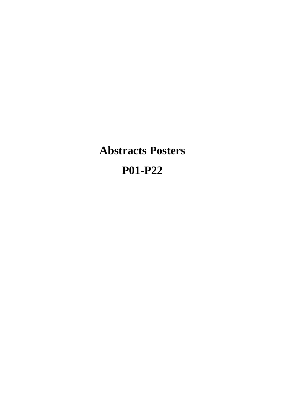**Abstracts Posters P01-P22**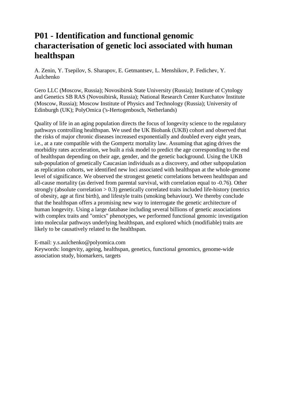# **P01 - Identification and functional genomic characterisation of genetic loci associated with human healthspan**

A. Zenin, Y. Tsepilov, S. Sharapov, E. Getmantsev, L. Menshikov, P. Fedichev, Y. Aulchenko

Gero LLC (Moscow, Russia); Novosibirsk State University (Russia); Institute of Cytology and Genetics SB RAS (Novosibirsk, Russia); National Research Center Kurchatov Institute (Moscow, Russia); Moscow Institute of Physics and Technology (Russia); University of Edinburgh (UK); PolyOmica ('s-Hertogenbosch, Netherlands)

Quality of life in an aging population directs the focus of longevity science to the regulatory pathways controlling healthspan. We used the UK Biobank (UKB) cohort and observed that the risks of major chronic diseases increased exponentially and doubled every eight years, i.e., at a rate compatible with the Gompertz mortality law. Assuming that aging drives the morbidity rates acceleration, we built a risk model to predict the age corresponding to the end of healthspan depending on their age, gender, and the genetic background. Using the UKB sub-population of genetically Caucasian individuals as a discovery, and other subpopulation as replication cohorts, we identified new loci associated with healthspan at the whole-genome level of significance. We observed the strongest genetic correlations between healthspan and all-cause mortality (as derived from parental survival, with correlation equal to -0.76). Other strongly (absolute correlation  $> 0.3$ ) genetically correlated traits included life-history (metrics of obesity, age at first birth), and lifestyle traits (smoking behaviour). We thereby conclude that the healthspan offers a promising new way to interrogate the genetic architecture of human longevity. Using a large database including several billions of genetic associations with complex traits and "omics" phenotypes, we performed functional genomic investigation into molecular pathways underlying healthspan, and explored which (modifiable) traits are likely to be causatively related to the healthspan.

E-mail: y.s.aulchenko@polyomica.com

Keywords: longevity, ageing, healthspan, genetics, functional genomics, genome-wide association study, biomarkers, targets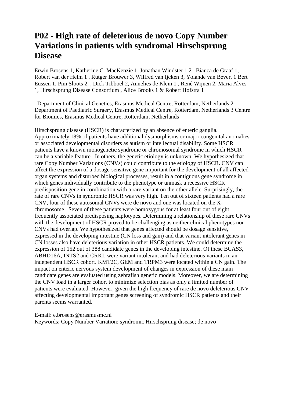# **P02 - High rate of deleterious de novo Copy Number Variations in patients with syndromal Hirschsprung Disease**

Erwin Brosens 1, Katherine C. MacKenzie 1, Jonathan Windster 1,2 , Bianca de Graaf 1, Robert van der Helm 1 , Rutger Brouwer 3, Wilfred van Ijcken 3, Yolande van Bever, 1 Bert Eussen 1, Pim Sloots 2, , Dick Tibboel 2, Annelies de Klein 1 , René Wijnen 2, Maria Alves 1, Hirschsprung Disease Consortium , Alice Brooks 1 & Robert Hofstra 1

1Department of Clinical Genetics, Erasmus Medical Centre, Rotterdam, Netherlands 2 Department of Paediatric Surgery, Erasmus Medical Centre, Rotterdam, Netherlands 3 Centre for Biomics, Erasmus Medical Centre, Rotterdam, Netherlands

Hirschsprung disease (HSCR) is characterized by an absence of enteric ganglia. Approximately 18% of patients have additional dysmorphisms or major congenital anomalies or associated developmental disorders as autism or intellectual disability. Some HSCR patients have a known monogenetic syndrome or chromosomal syndrome in which HSCR can be a variable feature . In others, the genetic etiology is unknown. We hypothesized that rare Copy Number Variations (CNVs) could contribute to the etiology of HSCR. CNV can affect the expression of a dosage-sensitive gene important for the development of all affected organ systems and disturbed biological processes, result in a contiguous gene syndrome in which genes individually contribute to the phenotype or unmask a recessive HSCR predisposition gene in combination with a rare variant on the other allele. Surprisingly, the rate of rare CNVs in syndromic HSCR was very high. Ten out of sixteen patients had a rare CNV, four of these autosomal CNVs were de novo and one was located on the Xchromosome . Seven of these patients were homozygous for at least four out of eight frequently associated predisposing haplotypes. Determining a relationship of these rare CNVs with the development of HSCR proved to be challenging as neither clinical phenotypes nor CNVs had overlap. We hypothesized that genes affected should be dosage sensitive, expressed in the developing intestine (CN loss and gain) and that variant intolerant genes in CN losses also have deleterious variation in other HSCR patients. We could determine the expression of 152 out of 388 candidate genes in the developing intestine. Of these BCAS3, ABHD16A, INTS2 and CRKL were variant intolerant and had deleterious variants in an independent HSCR cohort. KMT2C, GEM and TRPM3 were located within a CN gain. The impact on enteric nervous system development of changes in expression of these main candidate genes are evaluated using zebrafish genetic models. Moreover, we are determining the CNV load in a larger cohort to minimize selection bias as only a limited number of patients were evaluated. However, given the high frequency of rare de novo deleterious CNV affecting developmental important genes screening of syndromic HSCR patients and their parents seems warranted.

E-mail: e.brosens@erasmusmc.nl

Keywords: Copy Number Variation; syndromic Hirschsprung disease; de novo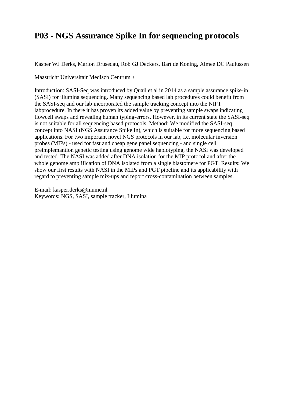# **P03 - NGS Assurance Spike In for sequencing protocols**

Kasper WJ Derks, Marion Drusedau, Rob GJ Deckers, Bart de Koning, Aimee DC Paulussen

Maastricht Universitair Medisch Centrum +

Introduction: SASI-Seq was introduced by Quail et al in 2014 as a sample assurance spike-in (SASI) for illumina sequencing. Many sequencing based lab procedures could benefit from the SASI-seq and our lab incorporated the sample tracking concept into the NIPT labprocedure. In there it has proven its added value by preventing sample swaps indicating flowcell swaps and revealing human typing-errors. However, in its current state the SASI-seq is not suitable for all sequencing based protocols. Method: We modified the SASI-seq concept into NASI (NGS Assurance Spike In), which is suitable for more sequencing based applications. For two important novel NGS protocols in our lab, i.e. molecular inversion probes (MIPs) - used for fast and cheap gene panel sequencing - and single cell preimplemantion genetic testing using genome wide haplotyping, the NASI was developed and tested. The NASI was added after DNA isolation for the MIP protocol and after the whole genome amplification of DNA isolated from a single blastomere for PGT. Results: We show our first results with NASI in the MIPs and PGT pipeline and its applicability with regard to preventing sample mix-ups and report cross-contamination between samples.

E-mail: kasper.derks@mumc.nl Keywords: NGS, SASI, sample tracker, Illumina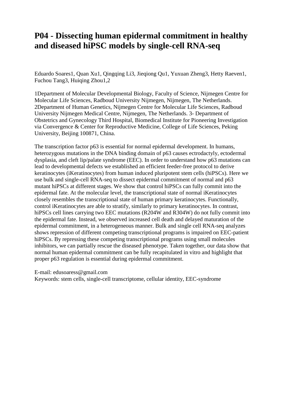### **P04 - Dissecting human epidermal commitment in healthy and diseased hiPSC models by single-cell RNA-seq**

Eduardo Soares1, Quan Xu1, Qingqing Li3, Jieqiong Qu1, Yuxuan Zheng3, Hetty Raeven1, Fuchou Tang3, Huiqing Zhou1,2

1Department of Molecular Developmental Biology, Faculty of Science, Nijmegen Centre for Molecular Life Sciences, Radboud University Nijmegen, Nijmegen, The Netherlands. 2Department of Human Genetics, Nijmegen Centre for Molecular Life Sciences, Radboud University Nijmegen Medical Centre, Nijmegen, The Netherlands. 3- Department of Obstetrics and Gynecology Third Hospital, Biomedical Institute for Pioneering Investigation via Convergence & Center for Reproductive Medicine, College of Life Sciences, Peking University, Beijing 100871, China.

The transcription factor p63 is essential for normal epidermal development. In humans, heterozygous mutations in the DNA binding domain of p63 causes ectrodactyly, ectodermal dysplasia, and cleft lip/palate syndrome (EEC). In order to understand how p63 mutations can lead to developmental defects we established an efficient feeder-free protocol to derive keratinocytes (iKeratinocytes) from human induced pluripotent stem cells (hiPSCs). Here we use bulk and single-cell RNA-seq to dissect epidermal commitment of normal and p63 mutant hiPSCs at different stages. We show that control hiPSCs can fully commit into the epidermal fate. At the molecular level, the transcriptional state of normal iKeratinocytes closely resembles the transcriptional state of human primary keratinocytes. Functionally, control iKeratinocytes are able to stratify, similarly to primary keratinocytes. In contrast, hiPSCs cell lines carrying two EEC mutations (R204W and R304W) do not fully commit into the epidermal fate. Instead, we observed increased cell death and delayed maturation of the epidermal commitment, in a heterogeneous manner. Bulk and single cell RNA-seq analyzes shows repression of different competing transcriptional programs is impaired on EEC-patient hiPSCs. By repressing these competing transcriptional programs using small molecules inhibitors, we can partially rescue the diseased phenotype. Taken together, our data show that normal human epidermal commitment can be fully recapitulated in vitro and highlight that proper p63 regulation is essential during epidermal commitment.

E-mail: edusoaress@gmail.com

Keywords: stem cells, single-cell transcriptome, cellular identity, EEC-syndrome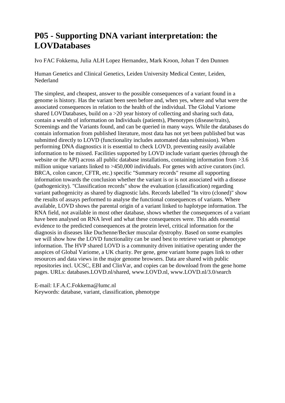## **P05 - Supporting DNA variant interpretation: the LOVDatabases**

Ivo FAC Fokkema, Julia ALH Lopez Hernandez, Mark Kroon, Johan T den Dunnen

Human Genetics and Clinical Genetics, Leiden University Medical Center, Leiden, Nederland

The simplest, and cheapest, answer to the possible consequences of a variant found in a genome is history. Has the variant been seen before and, when yes, where and what were the associated consequences in relation to the health of the individual. The Global Variome shared LOVDatabases, build on a >20 year history of collecting and sharing such data, contain a wealth of information on Individuals (patients), Phenotypes (disease/traits), Screenings and the Variants found, and can be queried in many ways. While the databases do contain information from published literature, most data has not yet been published but was submitted directly to LOVD (functionality includes automated data submission). When performing DNA diagnostics it is essential to check LOVD, preventing easily available information to be missed. Facilities supported by LOVD include variant queries (through the website or the API) across all public database installations, containing information from >3.6 million unique variants linked to >450,000 individuals. For genes with active curators (incl. BRCA, colon cancer, CFTR, etc.) specific "Summary records" resume all supporting information towards the conclusion whether the variant is or is not associated with a disease (pathogenicity). "Classification records" show the evaluation (classification) regarding variant pathogenicity as shared by diagnostic labs. Records labelled "In vitro (cloned)" show the results of assays performed to analyse the functional consequences of variants. Where available, LOVD shows the parental origin of a variant linked to haplotype information. The RNA field, not available in most other database, shows whether the consequences of a variant have been analysed on RNA level and what these consequences were. This adds essential evidence to the predicted consequences at the protein level, critical information for the diagnosis in diseases like Duchenne/Becker muscular dystrophy. Based on some examples we will show how the LOVD functionality can be used best to retrieve variant or phenotype information. The HVP shared LOVD is a community driven initiative operating under the auspices of Global Variome, a UK charity. Per gene, gene variant home pages link to other resources and data views in the major genome browsers. Data are shared with public repositories incl. UCSC, EBI and ClinVar, and copies can be download from the gene home pages. URLs: databases.LOVD.nl/shared, www.LOVD.nl, www.LOVD.nl/3.0/search

E-mail: I.F.A.C.Fokkema@lumc.nl Keywords: database, variant, classification, phenotype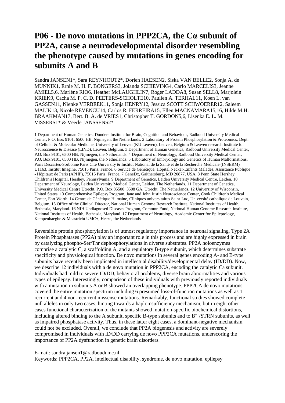## **P06 - De novo mutations in PPP2CA, the Cα subunit of PP2A, cause a neurodevelopmental disorder resembling the phenotype caused by mutations in genes encoding for subunits A and B**

Sandra JANSEN1\*, Sara REYNHOUT2\*, Dorien HAESEN2, Siska VAN BELLE2, Sonja A. de MUNNIK1, Ernie M. H. F. BONGERS3, Jolanda SCHIEVING4, Carlo MARCELIS3, Jeanne AMIEL5,6, Marlène RIO6, Heather McLAUGHLIN7, Roger LADDA8, Susan SELL8, Marjolein KRIEK9, Cacha M. P. C. D. PEETERS-SCHOLTE10, Paulien A. TERHAL11, Koen L. van GASSEN11, Nienke VERBEEK11, Sonja HENRY12, Jessica SCOTT SCHWOERER12, Saleem MALIK13, Nicole REVENCU14, Carlos R. FERREIRA15, Ellen MACNAMARA15,16, Hilde M.H. BRAAKMAN17, Bert. B. A. de VRIES1, Christopher T. GORDON5,6, Lisenka E. L. M. VISSERS1\* & Veerle JANSSENS2\*

1 Department of Human Genetics, Donders Institute for Brain, Cognition and Behaviour, Radboud University Medical Center, P.O. Box 9101, 6500 HB, Nijmegen, the Netherlands. 2 Laboratory of Protein Phosphorylation & Proteomics, Dept. of Cellular & Molecular Medicine, University of Leuven (KU Leuven), Leuven, Belgium & Leuven research Institute for Neuroscience & Disease (LIND), Leuven, Belgium. 3 Department of Human Genetics, Radboud University Medical Center, P.O. Box 9101, 6500 HB, Nijmegen, the Netherlands. 4 Department of Neurology, Radboud University Medical Center, P.O. Box 9101, 6500 HB, Nijmegen, the Netherlands. 5 Laboratory of Embryology and Genetics of Human Malformations, Paris Descartes-Sorbonne Paris Cité University & Institut National de la Santé et de la Recherche Médicale (INSERM) U1163, Institut Imagine, 75015 Paris, France. 6 Service de Génétique, Hôpital Necker-Enfants Malades, Assistance Publique - Hôpitaux de Paris (APHP), 75015 Paris, France. 7 GeneDx, Gaithersburg, MD 20877, USA. 8 Penn State Hershey Children's Hospital, Hershey, Pennsylvania. 9 Department of Genetics, Leiden University Medical Centre, Leiden. 10 Department of Neurology, Leiden University Medical Center, Leiden, The Netherlands. 11 Department of Genetics, University Medical Centre Utrecht, P.O. Box 85500, 3508 GA, Utrecht, The Netherlands. 12 University of Wisconsin, United States. 13 Comprehensive Epilepsy Program, Jane and John Justin Neuroscience Center, Cook Children's Medical Center, Fort Worth. 14 Centre de Génétique Humaine, Cliniques universitaires Saint-Luc, Université catholique de Louvain, Belgium. 15 Office of the Clinical Director, National Human Genome Research Institute, National Institutes of Health, Bethesda, Maryland. 16 NIH Undiagnosed Diseases Program, Common Fund, National Human Genome Research Institute, National Institutes of Health, Bethesda, Maryland. 17 Department of Neurology, Academic Center for Epileptology, Kempenhaeghe & Maastricht UMC+, Heeze, the Netherlands

Reversible protein phosphorylation is of utmost regulatory importance in neuronal signaling. Type 2A Protein Phosphatases (PP2A) play an important role in this process and are highly expressed in brain by catalyzing phospho-Ser/Thr dephosphorylations in diverse substrates. PP2A holoenzymes comprise a catalytic C, a scaffolding A, and a regulatory B-type subunit, which determines substrate specificity and physiological function. De novo mutations in several genes encoding A- and B-type subunits have recently been implicated in intellectual disability/developmental delay (ID/DD). Now, we describe 12 individuals with a de novo mutation in PPP2CA, encoding the catalytic Ca subunit. Individuals had mild to severe ID/DD, behavioral problems, diverse brain abnormalities and various types of epilepsy. Interestingly, comparison of these individuals with previously reported individuals with a mutation in subunits A or B showed an overlapping phenotype. PPP2CA de novo mutations covered the entire mutation spectrum including 6 presumed loss-of-function mutations as well as 1 recurrent and 4 non-recurrent missense mutations. Remarkably, functional studies showed complete null alleles in only two cases, hinting towards a haploinsufficiency mechanism, but in eight other cases functional characterization of the mutants showed mutation-specific biochemical distortions, including altered binding to the A subunit, specific B-type subunits and to B"´/STRN subunits, as well as impaired phosphatase activity. Thus, in these latter eight cases, a dominant-negative mechanism could not be excluded. Overall, we conclude that PP2A biogenesis and activity are severely compromised in individuals with ID/DD carrying de novo PPP2CA mutations, underscoring the importance of PP2A dysfunction in genetic brain disorders.

#### E-mail: sandra.jansen1@radboudumc.nl

Keywords: PPP2CA, PP2A, intellectual disability, syndrome, de novo mutation, epilepsy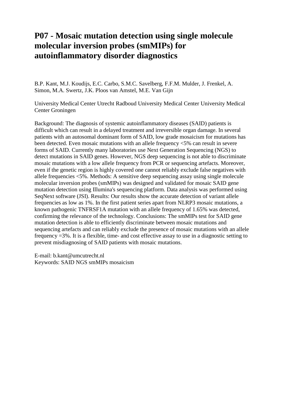### **P07 - Mosaic mutation detection using single molecule molecular inversion probes (smMIPs) for autoinflammatory disorder diagnostics**

B.P. Kant, M.J. Koudijs, E.C. Carbo, S.M.C. Savelberg, F.F.M. Mulder, J. Frenkel, A. Simon, M.A. Swertz, J.K. Ploos van Amstel, M.E. Van Gijn

University Medical Center Utrecht Radboud University Medical Center University Medical Center Groningen

Background: The diagnosis of systemic autoinflammatory diseases (SAID) patients is difficult which can result in a delayed treatment and irreversible organ damage. In several patients with an autosomal dominant form of SAID, low grade mosaicism for mutations has been detected. Even mosaic mutations with an allele frequency <5% can result in severe forms of SAID. Currently many laboratories use Next Generation Sequencing (NGS) to detect mutations in SAID genes. However, NGS deep sequencing is not able to discriminate mosaic mutations with a low allele frequency from PCR or sequencing artefacts. Moreover, even if the genetic region is highly covered one cannot reliably exclude false negatives with allele frequencies <5%. Methods: A sensitive deep sequencing assay using single molecule molecular inversion probes (smMIPs) was designed and validated for mosaic SAID gene mutation detection using Illumina's sequencing platform. Data analysis was performed using SeqNext software (JSI). Results: Our results show the accurate detection of variant allele frequencies as low as 1%. In the first patient series apart from NLRP3 mosaic mutations, a known pathogenic TNFRSF1A mutation with an allele frequency of 1.65% was detected, confirming the relevance of the technology. Conclusions: The smMIPs test for SAID gene mutation detection is able to efficiently discriminate between mosaic mutations and sequencing artefacts and can reliably exclude the presence of mosaic mutations with an allele frequency =3%. It is a flexible, time- and cost effective assay to use in a diagnostic setting to prevent misdiagnosing of SAID patients with mosaic mutations.

E-mail: b.kant@umcutrecht.nl Keywords: SAID NGS smMIPs mosaicism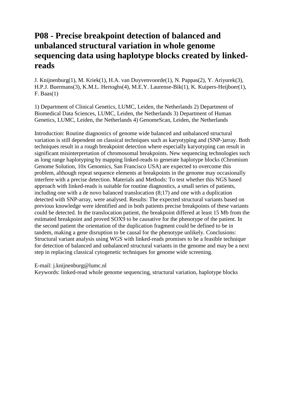# **P08 - Precise breakpoint detection of balanced and unbalanced structural variation in whole genome sequencing data using haplotype blocks created by linkedreads**

J. Knijnenburg(1), M. Kriek(1), H.A. van Duyvenvoorde(1), N. Pappas(2), Y. Ariyurek(3), H.P.J. Buermans(3), K.M.L. Hertoghs(4), M.E.Y. Laurense-Bik(1), K. Kuipers-Heijboer(1), F. Baas $(1)$ 

1) Department of Clinical Genetics, LUMC, Leiden, the Netherlands 2) Department of Biomedical Data Sciences, LUMC, Leiden, the Netherlands 3) Department of Human Genetics, LUMC, Leiden, the Netherlands 4) GenomeScan, Leiden, the Netherlands

Introduction: Routine diagnostics of genome wide balanced and unbalanced structural variation is still dependent on classical techniques such as karyotyping and (SNP-)array. Both techniques result in a rough breakpoint detection where especially karyotyping can result in significant misinterpretation of chromosomal breakpoints. New sequencing technologies such as long range haplotyping by mapping linked-reads to generate haplotype blocks (Chromium Genome Solution, 10x Genomics, San Francisco USA) are expected to overcome this problem, although repeat sequence elements at breakpoints in the genome may occasionally interfere with a precise detection. Materials and Methods: To test whether this NGS based approach with linked-reads is suitable for routine diagnostics, a small series of patients, including one with a de novo balanced translocation (8;17) and one with a duplication detected with SNP-array, were analysed. Results: The expected structural variants based on previous knowledge were identified and in both patients precise breakpoints of these variants could be detected. In the translocation patient, the breakpoint differed at least 15 Mb from the estimated breakpoint and proved SOX9 to be causative for the phenotype of the patient. In the second patient the orientation of the duplication fragment could be defined to be in tandem, making a gene disruption to be causal for the phenotype unlikely. Conclusions: Structural variant analysis using WGS with linked-reads promises to be a feasible technique for detection of balanced and unbalanced structural variants in the genome and may be a next step in replacing classical cytogenetic techniques for genome wide screening.

E-mail: j.knijnenburg@lumc.nl

Keywords: linked-read whole genome sequencing, structural variation, haplotype blocks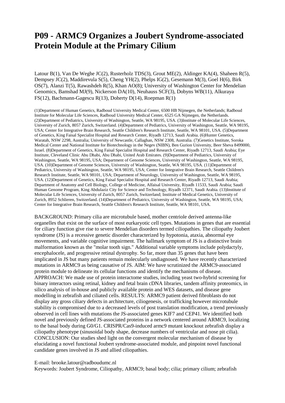### **P09 - ARMC9 Organizes a Joubert Syndrome-associated Protein Module at the Primary Cilium**

Latour B(1), Van De Weghe JC(2), Rusterholz TDS(3), Grout ME(2), Aldinger KA(4), Shaheen R(5), Dempsey JC(2), Maddirevula S(5), Cheng YH(2), Phelps IG(2), Gesemann M(3), Goel H(6), Birk OS(7), Alanzi T(5), Rawashdeh R(5), Khan AO(8); University of Washington Center for Mendelian Genomics, Bamshad MJ(9), Nickerson DA(10), Neuhauss SCF(3), Dobyns WB(11), Alkuraya FS(12), Bachmann-Gagescu R(13), Doherty D(14), Roepman R(1)

(1)Department of Human Genetics, Radboud University Medical Center, 6500 HB Nijmegen, the Netherlands; Radboud Institute for Molecular Life Sciences, Radboud University Medical Center, 6525 GA Nijmegen, the Netherlands. (2)Department of Pediatrics, University of Washington, Seattle, WA 98195, USA. (3)Institute of Molecular Life Sciences, University of Zurich, 8057 Zurich, Switzerland. (4)Department of Pediatrics, University of Washington, Seattle, WA 98195, USA; Center for Integrative Brain Research, Seattle Children's Research Institute, Seattle, WA 98101, USA. (5)Department of Genetics, King Faisal Specialist Hospital and Research Center, Riyadh 12713, Saudi Arabia. (6)Hunter Genetics, Waratah, NSW 2298, Australia; University of Newcastle, Callaghan, NSW 2308, Australia. (7)Genetics Institute, Soroka Medical Center and National Institute for Biotechnology in the Negev (NIBN), Ben Gurion University, Beer Sheva 8499000, Israel. (8)Department of Genetics, King Faisal Specialist Hospital and Research Center, Riyadh 12713, Saudi Arabia; Eye Institute, Cleveland Clinic Abu Dhabi, Abu Dhabi, United Arab Emirates. (9)Department of Pediatrics, University of Washington, Seattle, WA 98195, USA; Department of Genome Sciences, University of Washington, Seattle, WA 98195, USA. (10)Department of Genome Sciences, University of Washington, Seattle, WA 98195, USA. (11)Department of Pediatrics, University of Washington, Seattle, WA 98195, USA; Center for Integrative Brain Research, Seattle Children's Research Institute, Seattle, WA 98101, USA; Department of Neurology, University of Washington, Seattle, WA 98195, USA. (12)Department of Genetics, King Faisal Specialist Hospital and Research Center, Riyadh 12713, Saudi Arabia; Department of Anatomy and Cell Biology, College of Medicine, Alfaisal University, Riyadh 11533, Saudi Arabia; Saudi Human Genome Program, King Abdulaziz City for Science and Technology, Riyadh 12371, Saudi Arabia. (13)Institute of Molecular Life Sciences, University of Zurich, 8057 Zurich, Switzerland; Institute of Medical Genetics, University of Zurich, 8952 Schlieren, Switzerland. (14)Department of Pediatrics, University of Washington, Seattle, WA 98195, USA; Center for Integrative Brain Research, Seattle Children's Research Institute, Seattle, WA 98101, USA.

BACKGROUND: Primary cilia are microtubule based, mother centriole derived antenna-like organelles that exist on the surface of most eurkaryotic cell types. Mutations in genes that are essential for ciliary function give rise to severe Mendelian disorders termed ciliopathies. The ciliopathy Joubert syndrome (JS) is a recessive genetic disorder characterized by hypotonia, ataxia, abnormal eye movements, and variable cognitive impairment. The hallmark symptom of JS is a distinctive brain malformation known as the "molar tooth sign." Additional variable symptoms include polydactyly, encephalocele, and progressive retinal dystrophy. So far, more than 35 genes that have been implicated in JS but many patients remain molecularly undiagnosed. We have recently characterized mutations in ARMC9 as being causative of JS. AIM: We have scrutinized the ARMC9-associated protein module to delineate its cellular functions and identify the mechanisms of disease. APPROACH: We made use of protein interactome studies, including yeast two-hybrid screening for binary interactors using retinal, kidney and fetal brain cDNA libraries, tandem affinity proteomics, in silico analysis of in-house and publicly available protein and WES datasets, and disease gene modelling in zebrafish and ciliated cells. RESULTS: ARMC9 patient derived fibroblasts do not display any gross ciliary defects in architecture, ciliogenesis, or trafficking however microtubule stability is compromised due to a decreased levels of post translation modification, a trend previously observed in cell lines with mutations the JS-associated genes KIF7 and CEP41. We identified both novel and previously defined JS-associated proteins in a network centered around ARMC9, localizing to the basal body during G0/G1. CRISPR/Cas9-induced armc9 mutant knockout zebrafish display a ciliopathy phenotype (sinusoidal body shape, decrease numbers of ventricular and nose pit cilia). CONCLUSION: Our studies shed light on the convergent molecular mechanism of disease by elucidating a novel functional Joubert syndrome-associated module, and pinpoint novel functional candidate genes involved in JS and allied ciliopathies.

#### E-mail: brooke.latour@radboudumc.nl

Keywords: Joubert Syndrome, Ciliopathy, ARMC9; basal body; cilia; primary cilium; zebrafish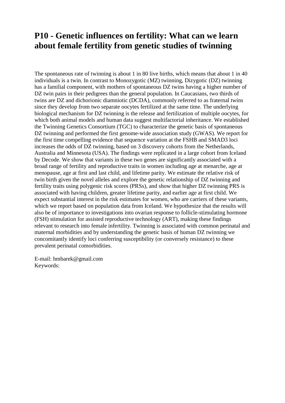### **P10 - Genetic influences on fertility: What can we learn about female fertility from genetic studies of twinning**

The spontaneous rate of twinning is about 1 in 80 live births, which means that about 1 in 40 individuals is a twin. In contrast to Monozygotic (MZ) twinning, Dizygotic (DZ) twinning has a familial component, with mothers of spontaneous DZ twins having a higher number of DZ twin pairs in their pedigrees than the general population. In Caucasians, two thirds of twins are DZ and dichorionic diamniotic (DCDA), commonly referred to as fraternal twins since they develop from two separate oocytes fertilized at the same time. The underlying biological mechanism for DZ twinning is the release and fertilization of multiple oocytes, for which both animal models and human data suggest multifactorial inheritance. We established the Twinning Genetics Consortium (TGC) to characterize the genetic basis of spontaneous DZ twinning and performed the first genome-wide association study (GWAS). We report for the first time compelling evidence that sequence variation at the FSHB and SMAD3 loci increases the odds of DZ twinning, based on 3 discovery cohorts from the Netherlands, Australia and Minnesota (USA). The findings were replicated in a large cohort from Iceland by Decode. We show that variants in these two genes are significantly associated with a broad range of fertility and reproductive traits in women including age at menarche, age at menopause, age at first and last child, and lifetime parity. We estimate the relative risk of twin birth given the novel alleles and explore the genetic relationship of DZ twinning and fertility traits using polygenic risk scores (PRSs), and show that higher DZ twinning PRS is associated with having children, greater lifetime parity, and earlier age at first child. We expect substantial interest in the risk estimates for women, who are carriers of these variants, which we report based on population data from Iceland. We hypothesize that the results will also be of importance to investigations into ovarian response to follicle-stimulating hormone (FSH) stimulation for assisted reproductive technology (ART), making these findings relevant to research into female infertility. Twinning is associated with common perinatal and maternal morbidities and by understanding the genetic basis of human DZ twinning we concomitantly identify loci conferring susceptibility (or conversely resistance) to these prevalent perinatal comorbidities.

E-mail: hmbarek@gmail.com Keywords: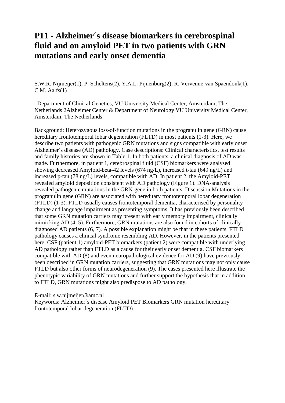### **P11 - Alzheimer´s disease biomarkers in cerebrospinal fluid and on amyloid PET in two patients with GRN mutations and early onset dementia**

S.W.R. Nijmeijer(1), P. Scheltens(2), Y.A.L. Pijnenburg(2), R. Vervenne-van Spaendonk(1), C.M. Aalfs(1)

1Department of Clinical Genetics, VU University Medical Center, Amsterdam, The Netherlands 2Alzheimer Center & Department of Neurology VU University Medical Center, Amsterdam, The Netherlands

Background: Heterozygous loss-of-function mutations in the progranulin gene (GRN) cause hereditary frontotemporal lobar degeneration (FLTD) in most patients (1-3). Here, we describe two patients with pathogenic GRN mutations and signs compatible with early onset Alzheimer´s disease (AD) pathology. Case descriptions: Clinical characteristics, test results and family histories are shown in Table 1. In both patients, a clinical diagnosis of AD was made. Furthermore, in patient 1, cerebrospinal fluid (CSF) biomarkers were analysed showing decreased Amyloid-beta-42 levels (674 ng/L), increased t-tau (649 ng/L) and increased p-tau (78 ng/L) levels, compatible with AD. In patient 2, the Amyloid-PET revealed amyloid deposition consistent with AD pathology (Figure 1). DNA-analysis revealed pathogenic mutations in the GRN-gene in both patients. Discussion Mutations in the progranulin gene (GRN) are associated with hereditary frontotemporal lobar degeneration (FTLD) (1-3). FTLD usually causes frontotemporal dementia, characterised by personality change and language impairment as presenting symptoms. It has previously been described that some GRN mutation carriers may present with early memory impairment, clinically mimicking AD (4, 5). Furthermore, GRN mutations are also found in cohorts of clinically diagnosed AD patients (6, 7). A possible explanation might be that in these patients, FTLD pathology causes a clinical syndrome resembling AD. However, in the patients presented here, CSF (patient 1) amyloid-PET biomarkers (patient 2) were compatible with underlying AD pathology rather than FTLD as a cause for their early onset dementia. CSF biomarkers compatible with AD (8) and even neuropathological evidence for AD (9) have previously been described in GRN mutation carriers, suggesting that GRN mutations may not only cause FTLD but also other forms of neurodegeneration (9). The cases presented here illustrate the phenotypic variability of GRN mutations and further support the hypothesis that in addition to FTLD, GRN mutations might also predispose to AD pathology.

E-mail: s.w.nijmeijer@amc.nl

Keywords: Alzheimer´s disease Amyloid PET Biomarkers GRN mutation hereditary frontotemporal lobar degeneration (FLTD)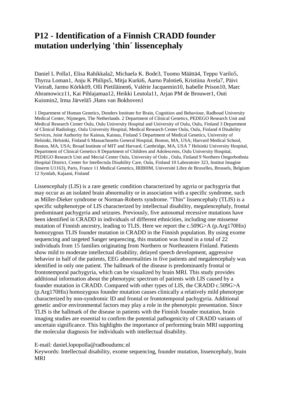### **P12 - Identification of a Finnish CRADD founder mutation underlying 'thin´ lissencephaly**

Daniel L Polla1, Elisa Rahikkala2, Michaela K. Bode3, Tuomo Määttä4, Teppo Varilo5, Thyrza Loman1, Anju K Philips5, Mitja Kurki6, Aarno Palotie6, Kristiina Avela7, Päivi Vieira8, Jarmo Körkkö9, Olli Pietiläinen6, Valérie Jacquemin10, Isabelle Prison10, Marc Abramowicz11, Kai Pihlajamaa12, Heikki Leutola11, Arjan PM de Brouwer1, Outi Kuismin2, Irma Järvelä5 ,Hans van Bokhoven1

1 Department of Human Genetics, Donders Institute for Brain, Cognition and Behaviour, Radboud University Medical Center, Nijmegen, The Netherlands. 2 Department of Clinical Genetics, PEDEGO Research Unit and Medical Research Center Oulu, Oulu University Hospital and University of Oulu, Oulu, Finland 3 Department of Clinical Radiology, Oulu University Hospital, Medical Research Center Oulu, Oulu, Finland 4 Disability Services, Joint Authority for Kainuu, Kainuu, Finland 5 Department of Medical Genetics, University of Helsinki, Helsinki, Finland 6 Massachusetts General Hospital, Boston, MA, USA; Harvard Medical School, Boston, MA, USA; Broad Institute of MIT and Harvard, Cambridge, MA, USA 7 Helsinki University Hospital, Department of Clinical Genetics 8 Department of Children and Adolescents, Oulu University Hospital, PEDEGO Research Unit and Mecial Center Oulu, University of Oulu , Oulu, Finland 9 Northern Ostgorbothnia Hospital District, Center for Intellectula Disability Care, Oulu, Finland 10 Laboratoire 323, Institut Imagine (Inserm U1163), Paris, France 11 Medical Genetics, IRIBHM, Université Libre de Bruxelles, Brussels, Belgium 12 Symlab, Kajaani, Finland

Lissencephaly (LIS) is a rare genetic condition characterized by agyria or pachygyria that may occur as an isolated brain abnormality or in association with a specific syndrome, such as Miller-Dieker syndrome or Norman-Roberts syndrome. "Thin" lissencephaly (TLIS) is a specific subphenotype of LIS characterized by intellectual disability, megalencephaly, frontal predominant pachygyria and seizures. Previously, five autosomal recessive mutations have been identified in CRADD in individuals of different ethnicities, including one missense mutation of Finnish ancestry, leading to TLIS. Here we report the c.509G>A (p.Arg170His) homozygous TLIS founder mutation in CRADD in the Finnish population. By using exome sequencing and targeted Sanger sequencing, this mutation was found in a total of 22 individuals from 15 families originating from Northern or Northeastern Finland. Patients show mild to moderate intellectual disability, delayed speech development, aggressive behavior in half of the patients, EEG abnormalities in five patients and megalencephaly was identified in only one patient. The hallmark of the disease is predominantly frontal or frontotemporal pachygyria, which can be visualized by brain MRI. This study provides additional information about the phenotypic spectrum of patients with LIS caused by a founder mutation in CRADD. Compared with other types of LIS, the CRADD c.509G>A (p.Arg170His) homozygous founder mutation causes clinically a relatively mild phenotype characterized by non-syndromic ID and frontal or frontotemporal pachygyria. Additional genetic and/or environmental factors may play a role in the phenotypic presentation. Since TLIS is the hallmark of the disease in patients with the Finnish founder mutation, brain imaging studies are essential to confirm the potential pathogenicity of CRADD variants of uncertain significance. This highlights the importance of performing brain MRI supporting the molecular diagnosis for individuals with intellectual disability.

### E-mail: daniel.lopopolla@radboudumc.nl

Keywords: Intellectual disability, exome sequencing, founder mutation, lissencephaly, brain MRI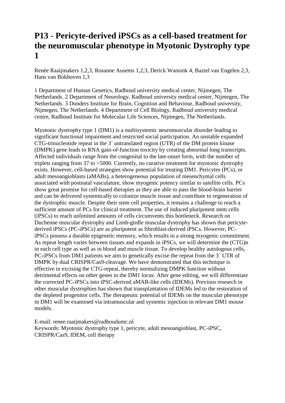# **P13 - Pericyte-derived iPSCs as a cell-based treatment for the neuromuscular phenotype in Myotonic Dystrophy type 1**

Renée Raaijmakers 1,2,3, Rosanne Ausems 1,2,3, Derick Wansink 4, Baziel van Engelen 2,3, Hans van Bokhoven 1,3

1 Department of Human Genetics, Radboud university medical center, Nijmegen, The Netherlands. 2 Department of Neurology, Radboud university medical center, Nijmegen, The Netherlands. 3 Donders Institute for Brain, Cognition and Behaviour, Radboud university, Nijmegen, The Netherlands. 4 Department of Cell Biology, Radboud university medical centre, Radboud Institute for Molecular Life Sciences, Nijmegen, The Netherlands.

Myotonic dystrophy type 1 (DM1) is a multisystemic neuromuscular disorder leading to significant functional impairment and restricted social participation. An unstable expanded CTG-trinucleotide repeat in the 3´ untranslated region (UTR) of the DM protein kinase (DMPK) gene leads to RNA gain-of-function toxicity by creating abnormal long transcripts. Affected individuals range from the congenital to the late-onset form, with the number of triplets ranging from 37 to >5000. Currently, no curative treatment for myotonic dystrophy exists. However, cell-based strategies show potential for treating DM1. Pericytes (PCs), or adult mesoangioblasts (aMABs), a heterogeneous population of mesenchymal cells associated with postnatal vasculature, show myogenic potency similar to satellite cells. PCs show great promise for cell-based therapies as they are able to pass the blood-brain barrier and can be delivered systemically to colonize muscle tissue and contribute to regeneration of the dystrophic muscle. Despite their stem cell properties, it remains a challenge to reach a sufficient amount of PCs for clinical treatment. The use of induced pluripotent stem cells (iPSCs) to reach unlimited amounts of cells circumvents this bottleneck. Research on Duchenne muscular dystrophy and Limb-girdle muscular dystrophy has shown that pericytederived iPSCs (PC-iPSCs) are as pluripotent as fibroblast-derived iPSCs. However, PCiPSCs possess a durable epigenetic memory, which results in a strong myogenic commitment. As repeat length varies between tissues and expands in iPSCs, we will determine the (CTG)n in each cell type as well as in blood and muscle tissue. To develop healthy autologous cells, PC-iPSCs from DM1 patients we aim to genetically excise the repeat from the 3´ UTR of DMPK by dual CRISPR/Cas9-cleavage. We have demonstrated that this technique is effective in excising the CTG-repeat, thereby normalizing DMPK function without detrimental effects on other genes in the DM1 locus. After gene editing, we will differentiate the corrected PC-iPSCs into iPSC-derived aMAB-like cells (IDEMs). Previous research in other muscular dystrophies has shown that transplantation of IDEMs led to the restoration of the depleted progenitor cells. The therapeutic potential of IDEMs on the muscular phenotype in DM1 will be examined via intramuscular and systemic injection in relevant DM1 mouse models.

E-mail: renee.raaijmakers@radboudumc.nl Keywords: Myotonic dystrophy type 1, pericyte, adult mesoangioblast, PC-iPSC, CRISPR/Cas9, IDEM, cell therapy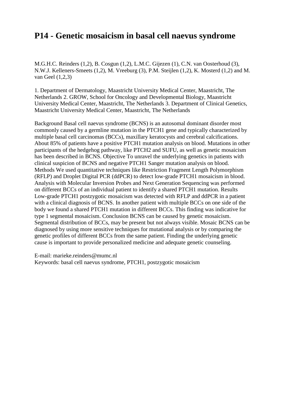### **P14 - Genetic mosaicism in basal cell naevus syndrome**

M.G.H.C. Reinders (1,2), B. Cosgun (1,2), L.M.C. Gijezen (1), C.N. van Oosterhoud (3), N.W.J. Kelleners-Smeets (1,2), M. Vreeburg (3), P.M. Steijlen (1,2), K. Mosterd (1,2) and M. van Geel (1,2,3)

1. Department of Dermatology, Maastricht University Medical Center, Maastricht, The Netherlands 2. GROW, School for Oncology and Developmental Biology, Maastricht University Medical Center, Maastricht, The Netherlands 3. Department of Clinical Genetics, Maastricht University Medical Center, Maastricht, The Netherlands

Background Basal cell naevus syndrome (BCNS) is an autosomal dominant disorder most commonly caused by a germline mutation in the PTCH1 gene and typically characterized by multiple basal cell carcinomas (BCCs), maxillary keratocysts and cerebral calcifications. About 85% of patients have a positive PTCH1 mutation analysis on blood. Mutations in other participants of the hedgehog pathway, like PTCH2 and SUFU, as well as genetic mosaicism has been described in BCNS. Objective To unravel the underlying genetics in patients with clinical suspicion of BCNS and negative PTCH1 Sanger mutation analysis on blood. Methods We used quantitative techniques like Restriction Fragment Length Polymorphism (RFLP) and Droplet Digital PCR (ddPCR) to detect low-grade PTCH1 mosaicism in blood. Analysis with Molecular Inversion Probes and Next Generation Sequencing was performed on different BCCs of an individual patient to identify a shared PTCH1 mutation. Results Low-grade PTCH1 postzygotic mosaicism was detected with RFLP and ddPCR in a patient with a clinical diagnosis of BCNS. In another patient with multiple BCCs on one side of the body we found a shared PTCH1 mutation in different BCCs. This finding was indicative for type 1 segmental mosaicism. Conclusion BCNS can be caused by genetic mosaicism. Segmental distribution of BCCs, may be present but not always visible. Mosaic BCNS can be diagnosed by using more sensitive techniques for mutational analysis or by comparing the genetic profiles of different BCCs from the same patient. Finding the underlying genetic cause is important to provide personalized medicine and adequate genetic counseling.

E-mail: marieke.reinders@mumc.nl

Keywords: basal cell naevus syndrome, PTCH1, postzygotic mosaicism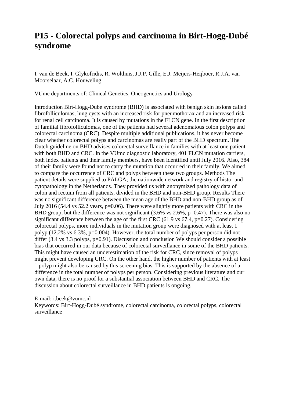### **P15 - Colorectal polyps and carcinoma in Birt-Hogg-Dubé syndrome**

I. van de Beek, I. Glykofridis, R. Wolthuis, J.J.P. Gille, E.J. Meijers-Heijboer, R.J.A. van Moorselaar, A.C. Houweling

VUmc departments of: Clinical Genetics, Oncogenetics and Urology

Introduction Birt-Hogg-Dubé syndrome (BHD) is associated with benign skin lesions called fibrofolliculomas, lung cysts with an increased risk for pneumothorax and an increased risk for renal cell carcinoma. It is caused by mutations in the FLCN gene. In the first description of familial fibrofolliculomas, one of the patients had several adenomatous colon polyps and colorectal carcinoma (CRC). Despite multiple additional publications, it has never become clear whether colorectal polyps and carcinomas are really part of the BHD spectrum. The Dutch guideline on BHD advises colorectal surveillance in families with at least one patient with both BHD and CRC. In the VUmc diagnostic laboratory, 401 FLCN mutation carriers, both index patients and their family members, have been identified until July 2016. Also, 384 of their family were found not to carry the mutation that occurred in their family. We aimed to compare the occurrence of CRC and polyps between these two groups. Methods The patient details were supplied to PALGA; the nationwide network and registry of histo- and cytopathology in the Netherlands. They provided us with anonymized pathology data of colon and rectum from all patients, divided in the BHD and non-BHD group. Results There was no significant difference between the mean age of the BHD and non-BHD group as of July 2016 (54.4 vs 52.2 years, p=0.06). There were slightly more patients with CRC in the BHD group, but the difference was not significant  $(3.6\% \text{ vs } 2.6\%, \text{p=0.47})$ . There was also no significant difference between the age of the first CRC (61.9 vs 67.4, p=0.27). Considering colorectal polyps, more individuals in the mutation group were diagnosed with at least 1 polyp (12.2% vs 6.3%, p=0.004). However, the total number of polyps per person did not differ  $(3.4 \text{ vs } 3.3 \text{ polyps}, p=0.91)$ . Discussion and conclusion We should consider a possible bias that occurred in our data because of colorectal surveillance in some of the BHD patients. This might have caused an underestimation of the risk for CRC, since removal of polyps might prevent developing CRC. On the other hand, the higher number of patients with at least 1 polyp might also be caused by this screening bias. This is supported by the absence of a difference in the total number of polyps per person. Considering previous literature and our own data, there is no proof for a substantial association between BHD and CRC. The discussion about colorectal surveillance in BHD patients is ongoing.

E-mail: i.beek@vumc.nl

Keywords: Birt-Hogg-Dubé syndrome, colorectal carcinoma, colorectal polyps, colorectal surveillance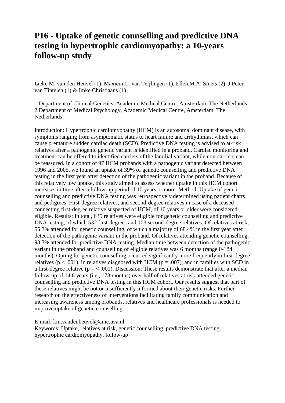### **P16 - Uptake of genetic counselling and predictive DNA testing in hypertrophic cardiomyopathy: a 10-years follow-up study**

Lieke M. van den Heuvel (1), Maxiem O. van Teijlingen (1), Ellen M.A. Smets (2), J.Peter van Tintelen (1) & Imke Christiaans (1)

1 Department of Clinical Genetics, Academic Medical Centre, Amsterdam, The Netherlands 2 Department of Medical Psychology, Academic Medical Centre, Amsterdam, The **Netherlands** 

Introduction: Hypertrophic cardiomyopathy (HCM) is an autosomal dominant disease, with symptoms ranging from asymptomatic status to heart failure and arrhythmias, which can cause premature sudden cardiac death (SCD). Predictive DNA testing is advised to at-risk relatives after a pathogenic genetic variant is identified in a proband. Cardiac monitoring and treatment can be offered to identified carriers of the familial variant, while non-carriers can be reassured. In a cohort of 97 HCM probands with a pathogenic variant detected between 1996 and 2005, we found an uptake of 39% of genetic counselling and predictive DNA testing in the first year after detection of the pathogenic variant in the proband. Because of this relatively low uptake, this study aimed to assess whether uptake in this HCM cohort increases in time after a follow-up period of 10 years or more. Method: Uptake of genetic counselling and predictive DNA testing was retrospectively determined using patient charts and pedigrees. First-degree relatives, and second-degree relatives in case of a deceased connecting first-degree relative suspected of HCM, of 10 years or older were considered eligible. Results: In total, 635 relatives were eligible for genetic counselling and predictive DNA testing, of which 532 first-degree- and 103 second-degree relatives. Of relatives at risk, 55.3% attended for genetic counselling, of which a majority of 68.4% in the first year after detection of the pathogenic variant in the proband. Of relatives attending genetic counselling, 98.3% attended for predictive DNA-testing. Median time between detection of the pathogenic variant in the proband and counselling of eligible relatives was 6 months (range 0-184 months). Opting for genetic counselling occurred significantly more frequently in first-degree relatives ( $p < .001$ ), in relatives diagnosed with HCM ( $p = .007$ ), and in families with SCD in a first-degree relative ( $p = < .001$ ). Discussion: These results demonstrate that after a median follow-up of 14.8 years (i.e., 178 months) over half of relatives at risk attended genetic counselling and predictive DNA testing in this HCM cohort. Our results suggest that part of these relatives might be not or insufficiently informed about their genetic risks. Further research on the effectiveness of interventions facilitating family communication and increasing awareness among probands, relatives and healthcare professionals is needed to improve uptake of genetic counselling.

E-mail: l.m.vandenheuvel@amc.uva.nl

Keywords: Uptake, relatives at risk, genetic counselling, predictive DNA testing, hypertrophic cardiomyopathy, follow-up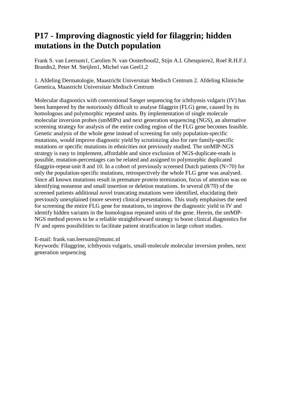# **P17 - Improving diagnostic yield for filaggrin; hidden mutations in the Dutch population**

Frank S. van Leersum1, Carolien N. van Oosterhoud2, Stijn A.I. Ghesquiere2, Roel R.H.F.J. Brandts2, Peter M. Steijlen1, Michel van Geel1,2

1. Afdeling Dermatologie, Maastricht Universitair Medisch Centrum 2. Afdeling Klinische Genetica, Maastricht Universitair Medisch Centrum

Molecular diagnostics with conventional Sanger sequencing for ichthyosis vulgaris (IV) has been hampered by the notoriously difficult to analyse filaggrin (FLG) gene, caused by its homologous and polymorphic repeated units. By implementation of single molecule molecular inversion probes (smMIPs) and next generation sequencing (NGS), an alternative screening strategy for analysis of the entire coding region of the FLG gene becomes feasible. Genetic analysis of the whole gene instead of screening for only population-specific mutations, would improve diagnostic yield by scrutinizing also for rare family-specific mutations or specific mutations in ethnicities not previously studied. The smMIP-NGS strategy is easy to implement, affordable and since exclusion of NGS-duplicate-reads is possible, mutation-percentages can be related and assigned to polymorphic duplicated filaggrin-repeat-unit 8 and 10. In a cohort of previously screened Dutch patients  $(N=70)$  for only the population-specific mutations, retrospectively the whole FLG gene was analysed. Since all known mutations result in premature protein termination, focus of attention was on identifying nonsense and small insertion or deletion mutations. In several (8/70) of the screened patients additional novel truncating mutations were identified, elucidating their previously unexplained (more severe) clinical presentations. This study emphasises the need for screening the entire FLG gene for mutations, to improve the diagnostic yield in IV and identify hidden variants in the homologous repeated units of the gene. Herein, the smMIP-NGS method proves to be a reliable straightforward strategy to boost clinical diagnostics for IV and opens possibilities to facilitate patient stratification in large cohort studies.

E-mail: frank.van.leersum@mumc.nl

Keywords: Filaggrine, ichthyosis vulgaris, small-molecule molecular inversion probes, next generation sequencing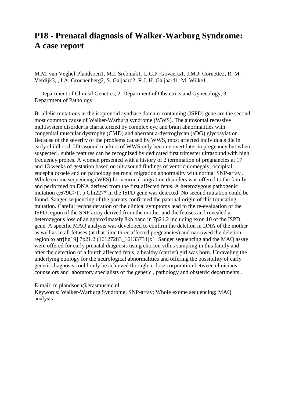### **P18 - Prenatal diagnosis of Walker-Warburg Syndrome: A case report**

M.M. van Veghel-Plandsoen1, M.I. Srebniak1, L.C.P. Govaerts1, J.M.J. Cornette2, R. M. Verdijk3, , I.A. Groenenberg2, S. Galjaard2, R.J. H. Galjaard1, M. Wilke1

1. Department of Clinical Genetics, 2. Department of Obstetrics and Gynecology, 3. Department of Pathology

Bi-allelic mutations in the isoprenoid synthase domain-containing (ISPD) gene are the second most common cause of Walker-Warburg syndrome (WWS). The autosomal recessive multisystem disorder is characterized by complex eye and brain abnormalities with congenital muscular dystrophy (CMD) and aberrant a-dystroglycan (aDG) glycosylation. Because of the severity of the problems caused by WWS, most affected individuals die in early childhood. Ultrasound markers of WWS only become overt later in pregnancy but when suspected , subtle features can be recognized by dedicated first trimester ultrasound with high frequency probes. A women presented with a history of 2 termination of pregnancies at 17 and 13 weeks of gestation based on ultrasound findings of ventriculomegaly, occipital encephalocoele and on pathology neuronal migration abnormality with normal SNP-array . Whole exome sequencing (WES) for neuronal migration disorders was offered to the family and performed on DNA derived from the first affected fetus. A heterozygous pathogenic mutation c.679C>T, p.Gln227\* in the ISPD gene was detected. No second mutation could be found. Sanger-sequencing of the parents confirmed the paternal origin of this truncating mutation. Careful reconsideration of the clinical symptoms lead to the re-evaluation of the ISPD region of the SNP array derived from the mother and the fetuses and revealed a heterozygous loss of an approximately 8kb band in 7p21.2 including exon 10 of the ISPD gene. A specific MAQ analysis was developed to confirm the deletion in DNA of the mother as well as in all fetuses (at that time three affected pregnancies) and narrowed the deletion region to arr[hg19] 7p21.2 (16127283\_16133734)x1. Sanger sequencing and the MAQ assay were offered for early prenatal diagnosis using chorion villus sampling in this family and after the detection of a fourth affected fetus, a healthy (carrier) girl was born. Unraveling the underlying etiology for the neurological abnormalities and offering the possibility of early genetic diagnosis could only be achieved through a close corporation between clinicians, counselors and laboratory specialists of the genetic , pathology and obstetric departments .

### E-mail: m.plandsoen@erasmusmc.nl

Keywords: Walker-Warburg Syndrome; SNP-array; Whole exome sequencing; MAQ analysis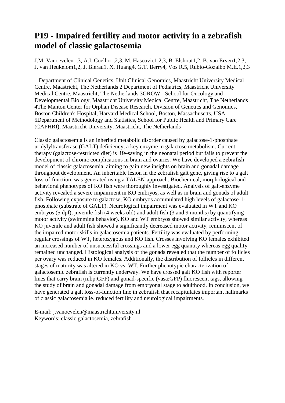### **P19 - Impaired fertility and motor activity in a zebrafish model of classic galactosemia**

J.M. Vanoevelen1,3, A.I. Coelho1,2,3, M. Hascovic1,2,3, B. Elshout1,2, B. van Erven1,2,3, J. van Heukelom1,2, J. Bierau1, X. Huang4, G.T. Berry4, Vos R.5, Rubio-Gozalbo M.E.1,2,3

1 Department of Clinical Genetics, Unit Clinical Genomics, Maastricht University Medical Centre, Maastricht, The Netherlands 2 Department of Pediatrics, Maastricht University Medical Centre, Maastricht, The Netherlands 3GROW - School for Oncology and Developmental Biology, Maastricht University Medical Centre, Maastricht, The Netherlands 4The Manton Center for Orphan Disease Research, Division of Genetics and Genomics, Boston Children's Hospital, Harvard Medical School, Boston, Massachusetts, USA 5Department of Methodology and Statistics, School for Public Health and Primary Care (CAPHRI), Maastricht University, Maastricht, The Netherlands

Classic galactosemia is an inherited metabolic disorder caused by galactose-1-phosphate uridylyltransferase (GALT) deficiency, a key enzyme in galactose metabolism. Current therapy (galactose-restricted diet) is life-saving in the neonatal period but fails to prevent the development of chronic complications in brain and ovaries. We have developed a zebrafish model of classic galactosemia, aiming to gain new insights on brain and gonadal damage throughout development. An inheritable lesion in the zebrafish galt gene, giving rise to a galt loss-of-function, was generated using a TALEN-approach. Biochemical, morphological and behavioral phenotypes of KO fish were thoroughly investigated. Analysis of galt-enzyme activity revealed a severe impairment in KO embryos, as well as in brain and gonads of adult fish. Following exposure to galactose, KO embryos accumulated high levels of galactose-1 phosphate (substrate of GALT). Neurological impairment was evaluated in WT and KO embryos (5 dpf), juvenile fish (4 weeks old) and adult fish (3 and 9 months) by quantifying motor activity (swimming behavior). KO and WT embryos showed similar activity, whereas KO juvenile and adult fish showed a significantly decreased motor activity, reminiscent of the impaired motor skills in galactosemia patients. Fertility was evaluated by performing regular crossings of WT, heterozygous and KO fish. Crosses involving KO females exhibited an increased number of unsuccessful crossings and a lower egg quantity whereas egg quality remained unchanged. Histological analysis of the gonads revealed that the number of follicles per ovary was reduced in KO females. Additionally, the distribution of follicles in different stages of maturity was altered in KO vs. WT. Further phenotypic characterization of galactosemic zebrafish is currently underway. We have crossed galt KO fish with reporter lines that carry brain (mbp:GFP) and gonad-specific (vasa:GFP) fluorescent tags, allowing the study of brain and gonadal damage from embryonal stage to adulthood. In conclusion, we have generated a galt loss-of-function line in zebrafish that recapitulates important hallmarks of classic galactosemia ie. reduced fertility and neurological impairments.

E-mail: j.vanoevelen@maastrichtuniversity.nl Keywords: classic galactosemia, zebrafish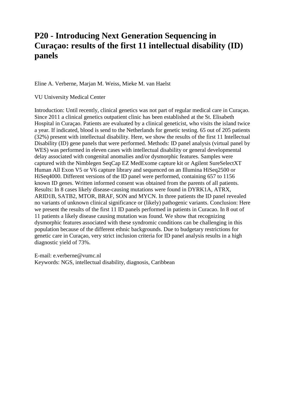### **P20 - Introducing Next Generation Sequencing in Curaçao: results of the first 11 intellectual disability (ID) panels**

### Eline A. Verberne, Marjan M. Weiss, Mieke M. van Haelst

VU University Medical Center

Introduction: Until recently, clinical genetics was not part of regular medical care in Curaçao. Since 2011 a clinical genetics outpatient clinic has been established at the St. Elisabeth Hospital in Curaçao. Patients are evaluated by a clinical geneticist, who visits the island twice a year. If indicated, blood is send to the Netherlands for genetic testing. 65 out of 205 patients (32%) present with intellectual disability. Here, we show the results of the first 11 Intellectual Disability (ID) gene panels that were performed. Methods: ID panel analysis (virtual panel by WES) was performed in eleven cases with intellectual disability or general developmental delay associated with congenital anomalies and/or dysmorphic features. Samples were captured with the Nimblegen SeqCap EZ MedExome capture kit or Agilent SureSelectXT Human All Exon V5 or V6 capture library and sequenced on an Illumina HiSeq2500 or HiSeq4000. Different versions of the ID panel were performed, containing 657 to 1156 known ID genes. Written informed consent was obtained from the parents of all patients. Results: In 8 cases likely disease-causing mutations were found in DYRK1A, ATRX, ARID1B, SATB2, MTOR, BRAF, SON and MYCN. In three patients the ID panel revealed no variants of unknown clinical significance or (likely) pathogenic variants. Conclusion: Here we present the results of the first 11 ID panels performed in patients in Curacao. In 8 out of 11 patients a likely disease causing mutation was found. We show that recognizing dysmorphic features associated with these syndromic conditions can be challenging in this population because of the different ethnic backgrounds. Due to budgetary restrictions for genetic care in Curaçao, very strict inclusion criteria for ID panel analysis results in a high diagnostic yield of 73%.

E-mail: e.verberne@vumc.nl Keywords: NGS, intellectual disability, diagnosis, Caribbean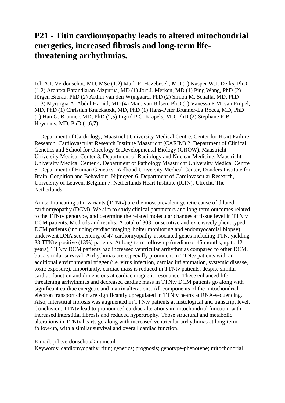### **P21 - Titin cardiomyopathy leads to altered mitochondrial energetics, increased fibrosis and long-term lifethreatening arrhythmias.**

Job A.J. Verdonschot, MD, MSc (1,2) Mark R. Hazebroek, MD (1) Kasper W.J. Derks, PhD (1,2) Arantxa Barandiarán Aizpurua, MD (1) Jort J. Merken, MD (1) Ping Wang, PhD (2) Jörgen Bierau, PhD (2) Arthur van den Wijngaard, PhD (2) Simon M. Schalla, MD, PhD (1,3) Myrurgia A. Abdul Hamid, MD (4) Marc van Bilsen, PhD (1) Vanessa P.M. van Empel, MD, PhD (1) Christian Knackstedt, MD, PhD (1) Hans-Peter Brunner-La Rocca, MD, PhD (1) Han G. Brunner, MD, PhD (2,5) Ingrid P.C. Krapels, MD, PhD (2) Stephane R.B. Heymans, MD, PhD  $(1,6,7)$ 

1. Department of Cardiology, Maastricht University Medical Centre, Center for Heart Failure Research, Cardiovascular Research Institute Maastricht (CARIM) 2. Department of Clinical Genetics and School for Oncology & Developmental Biology (GROW), Maastricht University Medical Center 3. Department of Radiology and Nuclear Medicine, Maastricht University Medical Center 4. Department of Pathology Maastricht University Medical Centre 5. Department of Human Genetics, Radboud University Medical Center, Donders Institute for Brain, Cognition and Behaviour, Nijmegen 6. Department of Cardiovascular Research, University of Leuven, Belgium 7. Netherlands Heart Institute (ICIN), Utrecht, The **Netherlands** 

Aims: Truncating titin variants (TTNtv) are the most prevalent genetic cause of dilated cardiomyopathy (DCM). We aim to study clinical parameters and long-term outcomes related to the TTNtv genotype, and determine the related molecular changes at tissue level in TTNtv DCM patients. Methods and results: A total of 303 consecutive and extensively phenotyped DCM patients (including cardiac imaging, holter monitoring and endomyocardial biopsy) underwent DNA sequencing of 47 cardiomyopathy-associated genes including TTN, yielding 38 TTNtv positive (13%) patients. At long-term follow-up (median of 45 months, up to 12 years), TTNtv DCM patients had increased ventricular arrhythmias compared to other DCM, but a similar survival. Arrhythmias are especially prominent in TTNtv patients with an additional environmental trigger (i.e. virus infection, cardiac inflammation, systemic disease, toxic exposure). Importantly, cardiac mass is reduced in TTNtv patients, despite similar cardiac function and dimensions at cardiac magnetic resonance. These enhanced lifethreatening arrhythmias and decreased cardiac mass in TTNtv DCM patients go along with significant cardiac energetic and matrix alterations. All components of the mitochondrial electron transport chain are significantly upregulated in TTNtv hearts at RNA-sequencing. Also, interstitial fibrosis was augmented in TTNtv patients at histological and transcript level. Conclusion: TTNtv lead to pronounced cardiac alterations in mitochondrial function, with increased interstitial fibrosis and reduced hypertrophy. Those structural and metabolic alterations in TTNtv hearts go along with increased ventricular arrhythmias at long-term follow-up, with a similar survival and overall cardiac function.

### E-mail: job.verdonschot@mumc.nl

Keywords: cardiomyopathy; titin; genetics; prognosis; genotype-phenotype; mitochondrial